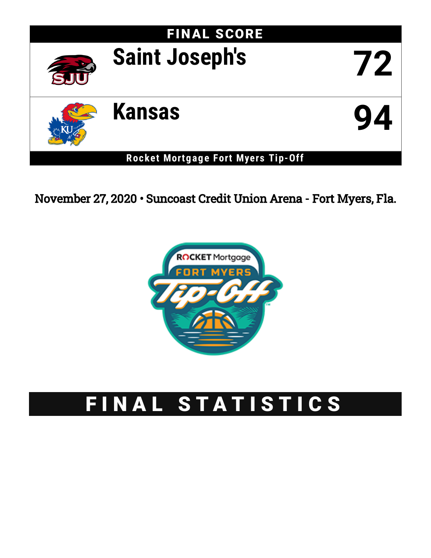

November 27, 2020 • Suncoast Credit Union Arena - Fort Myers, Fla.



# FINAL STATISTICS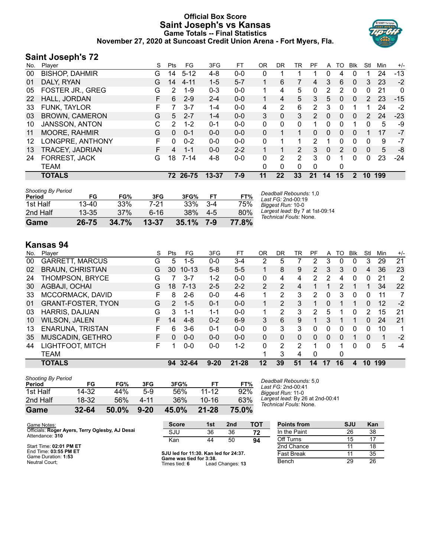## **Official Box Score Saint Joseph's vs Kansas Game Totals -- Final Statistics November 27, 2020 at Suncoast Credit Union Arena - Fort Myers, Fla.**



## **Saint Joseph's 72**

| No. | Player                  | S  | <b>Pts</b> | FG       | 3FG       | FТ      | 0R           | DR | TR | PF            | A  | то | Blk          | Stl      | Min | $+/-$ |
|-----|-------------------------|----|------------|----------|-----------|---------|--------------|----|----|---------------|----|----|--------------|----------|-----|-------|
| 00  | <b>BISHOP, DAHMIR</b>   | G  | 14         | $5 - 12$ | 4-8       | $0-0$   | 0            |    |    |               | 0  | 4  | 0            |          | 24  | $-13$ |
| 01  | DALY, RYAN              | G  | 14         | $4 - 11$ | $1-5$     | $5 - 7$ |              | 6  |    | 4             | 3  | 6  | $\mathbf{0}$ | 3        | 23  | $-2$  |
| 05  | <b>FOSTER JR., GREG</b> | G  | 2          | $1 - 9$  | $0 - 3$   | $0 - 0$ |              | 4  | 5  | 0             | 2  | 2  | 0            | 0        | 21  | 0     |
| 22  | HALL, JORDAN            | F. | 6          | $2 - 9$  | $2 - 4$   | $0 - 0$ | $\mathbf{1}$ | 4  | 5  | 3             | 5  | 0  | $\mathbf{0}$ | 2        | 23  | $-15$ |
| 33  | FUNK, TAYLOR            | F  | 7          | $3 - 7$  | 1-4       | $0-0$   | 4            | 2  | 6  | 2             | 3  | 0  |              |          | 24  | -2    |
| 03  | <b>BROWN, CAMERON</b>   | G  | 5          | $2 - 7$  | 1-4       | $0 - 0$ | 3            | 0  | 3  | $\mathcal{P}$ | 0  | 0  | $\mathbf{0}$ | 2        | 24  | $-23$ |
| 10  | <b>JANSSON, ANTON</b>   | С  | 2          | $1 - 2$  | $0 - 1$   | $0 - 0$ | $\Omega$     | 0  | 0  |               | 0  | 0  |              | 0        | 5   | -9    |
| 11  | <b>MOORE, RAHMIR</b>    | G  | 0          | $0 - 1$  | $0 - 0$   | $0 - 0$ | $\Omega$     |    | 1  | 0             | 0  | 0  | 0            |          | 17  | $-7$  |
| 12  | LONGPRE, ANTHONY        | F  | 0          | $0 - 2$  | $0 - 0$   | $0 - 0$ | $\Omega$     |    |    | $\mathcal{P}$ | 1  | 0  | 0            | 0        | 9   | $-7$  |
| 13  | <b>TRACEY, JADRIAN</b>  | F  | 4          | $1 - 1$  | $0 - 0$   | $2 - 2$ |              |    | 2  | 3             | 0  | 2  | $\Omega$     | 0        | 5   | -8    |
| 24  | FORREST, JACK           | G  | 18         | $7 - 14$ | 4-8       | $0 - 0$ | 0            | 2  | 2  | 3             | 0  |    | 0            | $\Omega$ | 23  | $-24$ |
|     | <b>TEAM</b>             |    |            |          |           |         | 0            | 0  | 0  | 0             |    | 0  |              |          |     |       |
|     | <b>TOTALS</b>           |    |            | 72 26-75 | $13 - 37$ | 7-9     | 11           | 22 | 33 | 21            | 14 | 15 | $\mathbf{2}$ | 10       | 199 |       |
|     |                         |    |            |          |           |         |              |    |    |               |    |    |              |          |     |       |

| <b>Shooting By Period</b><br>Period | FG        | FG%   | 3FG       | 3FG%         | FT      | FT%   | Deadball Rebounds: 1,0<br>Last FG: 2nd-00:19              |
|-------------------------------------|-----------|-------|-----------|--------------|---------|-------|-----------------------------------------------------------|
| 1st Half                            | $13 - 40$ | 33%   | 7-21      | 33%          | $3 - 4$ | 75%   | Biggest Run: 10-0                                         |
| 2nd Half                            | $13 - 35$ | 37%   | 6-16      | 38%          | $4-5$   | 80%   | Largest lead: By 7 at 1st-09:14<br>Technical Fouls: None. |
| Game                                | 26-75     | 34.7% | $13 - 37$ | $35.1\%$ 7-9 |         | 77.8% |                                                           |

## **Kansas 94**

| No. | Player                    | S  | Pts           | FG        | 3FG      | FТ        | 0 <sub>R</sub> | DR | TR            | PF             | A  | TO | Blk      | Stl      | Min | $+/-$ |
|-----|---------------------------|----|---------------|-----------|----------|-----------|----------------|----|---------------|----------------|----|----|----------|----------|-----|-------|
| 00  | <b>GARRETT, MARCUS</b>    | G  | 5             | $1 - 5$   | $0 - 0$  | $3-4$     | 2              | 5  |               |                | 3  | 0  | 0        | 3        | 29  | 21    |
| 02  | <b>BRAUN, CHRISTIAN</b>   | G  | 30            | $10 - 13$ | $5-8$    | $5-5$     |                | 8  | 9             | $\overline{2}$ | 3  | 3  | $\Omega$ | 4        | 36  | 23    |
| 24  | <b>THOMPSON, BRYCE</b>    | G  |               | $3 - 7$   | $1 - 2$  | $0 - 0$   | 0              | 4  | 4             | 2              | 2  | 4  | 0        | 0        | 21  | 2     |
| 30  | AGBAJI, OCHAI             | G  | 18            | 7-13      | $2 - 5$  | $2 - 2$   | $\overline{2}$ | 2  | 4             |                |    | 2  |          |          | 34  | 22    |
| 33  | MCCORMACK, DAVID          | F  | 8             | $2 - 6$   | $0 - 0$  | $4-6$     |                | 2  | 3             | 2              | 0  | 3  | 0        | 0        | 11  |       |
| 01  | <b>GRANT-FOSTER, TYON</b> | G  | $\mathcal{P}$ | $1 - 5$   | $0 - 1$  | $0 - 0$   |                | 2  | 3             |                | 0  |    |          | $\Omega$ | 12  | $-2$  |
| 03  | HARRIS, DAJUAN            | G  | 3             | 1-1       | 1-1      | $0 - 0$   |                | 2  | 3             | 2              | 5  |    | 0        | 2        | 15  | 21    |
| 10  | <b>WILSON, JALEN</b>      | F. | 14            | $4 - 8$   | $0 - 2$  | $6-9$     | 3              | 6  | 9             |                | 3  |    |          | $\Omega$ | 24  | 21    |
| 13  | <b>ENARUNA, TRISTAN</b>   | F  | 6             | $3-6$     | $0 - 1$  | $0 - 0$   | 0              | 3  | 3             | 0              | 0  | 0  | 0        | 0        | 10  | 1     |
| 35  | MUSCADIN, GETHRO          | F  | 0             | $0 - 0$   | $0 - 0$  | $0 - 0$   | 0              | 0  | $\Omega$      | 0              | 0  | 0  |          | 0        |     | $-2$  |
| 44  | LIGHTFOOT, MITCH          | F  |               | $0 - 0$   | $0 - 0$  | $1-2$     | 0              | 2  | $\mathcal{P}$ |                | 0  |    | 0        | 0        | 5   | -4    |
|     | <b>TEAM</b>               |    |               |           |          |           |                | 3  | 4             | $\Omega$       |    | 0  |          |          |     |       |
|     | <b>TOTALS</b>             |    | 94            | 32-64     | $9 - 20$ | $21 - 28$ | 12             | 39 | 51            | 14             | 17 | 16 | 4        | 10       | 199 |       |

| <b>Shooting By Period</b> |           |       |          |       |           |              |
|---------------------------|-----------|-------|----------|-------|-----------|--------------|
| Period                    | FG        | FG%   | 3FG      | 3FG%  | FТ        | FT%          |
| 1st Half                  | 14-32     | 44%   | 5-9      | .56%  | $11 - 12$ | 92%          |
| 2nd Half                  | 18-32     | 56%   | 4-11     | 36%   | $10 - 16$ | 63%          |
| Game                      | $32 - 64$ | 50.0% | $9 - 20$ | 45.0% | $21 - 28$ | <b>75.0%</b> |

*Deadball Rebounds:* 5,0 *Last FG:* 2nd-00:41 *Biggest Run:* 11-0 *Largest lead:* By 26 at 2nd-00:41 *Technical Fouls:* None.

| Game Notes:                                                        | <b>Score</b>                             | 1st | 2 <sub>nd</sub>      | тот | Points from  | SJU | Kan |
|--------------------------------------------------------------------|------------------------------------------|-----|----------------------|-----|--------------|-----|-----|
| Officials: Roger Ayers, Terry Oglesby, AJ Desai<br>Attendance: 310 | SJU                                      | 36  | 36                   | 72  | In the Paint | 26  | 38  |
|                                                                    | Kan                                      | 44  | 50                   | 94  | Off Turns    | 15  | 17  |
| Start Time: 02:01 PM ET                                            |                                          |     |                      |     | 2nd Chance   |     | 18  |
| End Time: 03:55 PM ET<br>Game Duration: 1:53                       | SJU led for 11:30. Kan led for 24:37.    |     |                      |     | Fast Break   |     | 35  |
| Neutral Court:                                                     | Game was tied for 3:38.<br>Timon tiod: C |     | $1$ and Changes $42$ |     | Bench        | 29  | 26  |

Game Duration: **1:53** Neutral Court;

**Game was tie**<br>Times tied: 6 S:30.<br>Lead Changes: **13**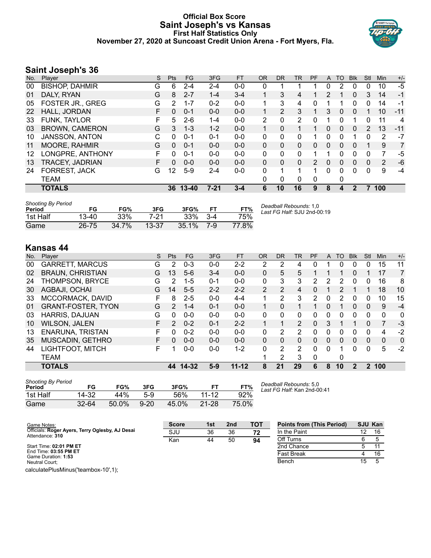#### **Official Box Score Saint Joseph's vs Kansas First Half Statistics Only November 27, 2020 at Suncoast Credit Union Arena - Fort Myers, Fla.**



## **Saint Joseph's 36**

| No. | Plaver                  | S  | <b>Pts</b> | <b>FG</b> | 3FG      | <b>FT</b> | 0R             | <b>DR</b>    | TR             | <b>PF</b>     | A | TO       | <b>B</b> lk | Stl      | <b>Min</b> | $+/-$          |
|-----|-------------------------|----|------------|-----------|----------|-----------|----------------|--------------|----------------|---------------|---|----------|-------------|----------|------------|----------------|
| 00  | <b>BISHOP, DAHMIR</b>   | G  | 6          | $2 - 4$   | $2 - 4$  | $0 - 0$   | 0              |              |                |               | 0 | 2        | $\Omega$    | 0        | 10         | $-5$           |
| 01  | DALY, RYAN              | G  | 8          | $2 - 7$   | $1 - 4$  | $3 - 4$   |                | 3            | 4              |               | 2 |          | 0           | 3        | 14         | $-1$           |
| 05  | <b>FOSTER JR., GREG</b> | G  | 2          | $1 - 7$   | $0 - 2$  | $0-0$     |                | 3            | 4              | 0             |   | 1        | 0           | 0        | 14         | -1             |
| 22  | HALL, JORDAN            | F  | 0          | $0 - 1$   | $0 - 0$  | $0 - 0$   |                | 2            | 3              |               | 3 | $\Omega$ | 0           |          | 10         | $-11$          |
| 33  | FUNK, TAYLOR            | F  | 5.         | $2 - 6$   | $1 - 4$  | $0 - 0$   | $\overline{2}$ | 0            | $\overline{2}$ | 0             |   | 0        |             | 0        | 11         | 4              |
| 03  | <b>BROWN, CAMERON</b>   | G  | 3.         | $1 - 3$   | $1 - 2$  | $0 - 0$   |                | $\mathbf{0}$ | 1              |               | 0 | 0        | 0           | 2        | 13         | $-11$          |
| 10  | JANSSON, ANTON          | C  | $\Omega$   | $0 - 1$   | $0 - 1$  | $0-0$     | 0              | 0            | 0              |               | 0 | $\Omega$ |             | 0        | 2          | $-7$           |
| 11  | <b>MOORE, RAHMIR</b>    | G  | $\Omega$   | $0 - 1$   | $0 - 0$  | $0 - 0$   | 0              | 0            | $\Omega$       | $\Omega$      | 0 | $\Omega$ | $\Omega$    |          | 9          | $\overline{7}$ |
| 12  | LONGPRE, ANTHONY        | F  | 0          | $0 - 1$   | $0 - 0$  | $0 - 0$   | 0              | 0            | 0              | 1             |   | 0        | 0           | 0        | 7          | -5             |
| 13  | <b>TRACEY, JADRIAN</b>  | F. | 0          | $0 - 0$   | $0 - 0$  | $0 - 0$   | 0              | $\Omega$     | $\Omega$       | $\mathcal{P}$ | 0 | $\Omega$ | 0           | 0        | 2          | -6             |
| 24  | <b>FORREST, JACK</b>    | G  | 12         | $5-9$     | $2 - 4$  | $0-0$     | 0              | 1            | 1              | 1             | 0 | $\Omega$ | 0           | $\Omega$ | 9          | $-4$           |
|     | TEAM                    |    |            |           |          |           | 0              | 0            | 0              | $\Omega$      |   | 0        |             |          |            |                |
|     | <b>TOTALS</b>           |    |            | 36 13-40  | $7 - 21$ | $3 - 4$   | 6              | 10           | 16             | 9             | 8 | 4        | 2           | 7        | 100        |                |
|     |                         |    |            |           |          |           |                |              |                |               |   |          |             |          |            |                |

| <b>Shooting By Period</b><br>Period | FG    | FG%   | 3FG   | 3FG%  |       | FT%   | Deadball Rebounds: 1,0<br>Last FG Half: SJU 2nd-00:19 |
|-------------------------------------|-------|-------|-------|-------|-------|-------|-------------------------------------------------------|
| 1st Half                            | 13-40 | 33%   | 7-21  | 33%   | $3-4$ | 75%   |                                                       |
| Game                                | 26-75 | 34.7% | 13-37 | 35.1% | 7-9   | 77.8% |                                                       |

## **Kansas 44**

| No. | Plaver                    | S | <b>Pts</b>    | FG       | 3FG     | <b>FT</b> | <b>OR</b>      | <b>DR</b> | TR             | PF       | A        | TO | <b>B</b> lk  | Stl      | Min          | $+/-$    |
|-----|---------------------------|---|---------------|----------|---------|-----------|----------------|-----------|----------------|----------|----------|----|--------------|----------|--------------|----------|
| 00  | <b>GARRETT, MARCUS</b>    | G | 2             | $0 - 3$  | $0-0$   | $2 - 2$   | 2              | 2         | 4              |          |          | 0  | 0            | 0        | 15           | 11       |
| 02  | <b>BRAUN, CHRISTIAN</b>   | G | 13            | $5-6$    | $3 - 4$ | $0 - 0$   | 0              | 5         | 5              |          |          |    | 0            |          | 17           | 7        |
| 24  | THOMPSON, BRYCE           | G | $\mathcal{P}$ | $1 - 5$  | $0 - 1$ | $0 - 0$   | 0              | 3         | 3              | 2        | 2        | 2  | 0            | 0        | 16           | 8        |
| 30  | AGBAJI, OCHAI             | G | 14            | $5 - 5$  | $2 - 2$ | $2 - 2$   | $\overline{2}$ | 2         | 4              | $\Omega$ |          | 2  |              |          | 18           | 10       |
| 33  | MCCORMACK, DAVID          | F | 8             | $2 - 5$  | $0 - 0$ | $4 - 4$   |                | 2         | 3              | 2        | 0        | 2  | 0            | 0        | 10           | 15       |
| 01  | <b>GRANT-FOSTER, TYON</b> | G | $\mathcal{P}$ | $1 - 4$  | $0 - 1$ | $0 - 0$   |                | 0         |                |          | 0        |    | 0            | $\Omega$ | 9            | $-4$     |
| 03  | HARRIS, DAJUAN            | G | $\Omega$      | $0 - 0$  | $0 - 0$ | $0 - 0$   | 0              | 0         | $\Omega$       | 0        | 0        | 0  | $\Omega$     | $\Omega$ | $\mathbf{0}$ | 0        |
| 10  | <b>WILSON, JALEN</b>      | F | $\mathcal{P}$ | $0 - 2$  | $0 - 1$ | $2 - 2$   |                |           | $\overline{2}$ | $\Omega$ | 3        |    |              | 0        | 7            | -3       |
| 13  | <b>ENARUNA, TRISTAN</b>   | F | 0             | $0 - 2$  | $0 - 0$ | $0 - 0$   | 0              | 2         | 2              | 0        | 0        | O  | 0            | 0        | 4            | $-2$     |
| 35  | <b>MUSCADIN, GETHRO</b>   | F | 0             | $0 - 0$  | $0 - 0$ | $0 - 0$   | $\Omega$       | $\Omega$  | $\Omega$       | $\Omega$ | $\Omega$ | 0  | $\Omega$     | $\Omega$ | $\Omega$     | $\Omega$ |
| 44  | LIGHTFOOT, MITCH          | F |               | $0 - 0$  | $0 - 0$ | $1 - 2$   | 0              | 2         | 2              | 0        | $\Omega$ |    | <sup>0</sup> | 0        | 5            | $-2$     |
|     | <b>TEAM</b>               |   |               |          |         |           |                | 2         | 3              | $\Omega$ |          | 0  |              |          |              |          |
|     | <b>TOTALS</b>             |   |               | 44 14-32 | $5-9$   | $11 - 12$ | 8              | 21        | 29             | 6        | 8        | 10 | $\mathbf{2}$ |          | 2 100        |          |
|     |                           |   |               |          |         |           |                |           |                |          |          |    |              |          |              |          |

| <b>Shooting By Period</b><br>Period | FG        | FG%   | 3FG      | 3FG%  | FТ        | FT%   |
|-------------------------------------|-----------|-------|----------|-------|-----------|-------|
| 1st Half                            | 14-32     | 44%   | 5-9      | 56%   | 11-12     | 92%   |
| Game                                | $32 - 64$ | 50.0% | $9 - 20$ | 45.0% | $21 - 28$ | 75.0% |

*Deadball Rebounds:* 5,0 *Last FG Half:* Kan 2nd-00:41

| Game Notes:                                                        | <b>Score</b> | 1st | 2 <sub>nd</sub> | <b>TOT</b> | <b>Points from (This Period)</b> | <b>SJU Kan</b> |    |
|--------------------------------------------------------------------|--------------|-----|-----------------|------------|----------------------------------|----------------|----|
| Officials: Roger Ayers, Terry Oglesby, AJ Desai<br>Attendance: 310 | SJU          | 36  | 36              | 72         | In the Paint                     | 12             | 16 |
|                                                                    | Kan          | 44  | 50              | 94         | Off Turns                        |                |    |
| Start Time: 02:01 PM ET                                            |              |     |                 |            | 2nd Chance                       |                |    |
| End Time: 03:55 PM ET<br>Game Duration: 1:53                       |              |     |                 |            | <b>Fast Break</b>                |                | 16 |
| Neutral Court:                                                     |              |     |                 |            | Bench                            | 15             |    |

calculatePlusMinus('teambox-10',1);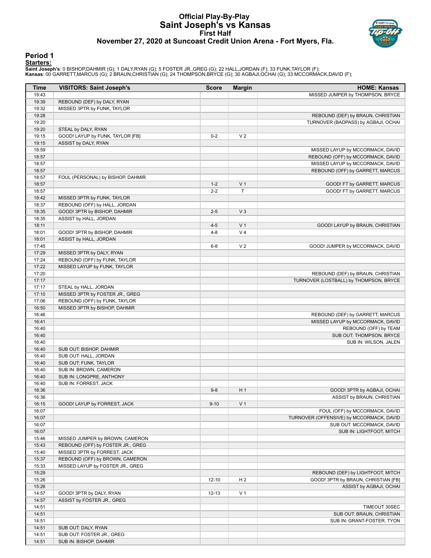#### **Official Play-By-Play Saint Joseph's vs Kansas First Half November 27, 2020 at Suncoast Credit Union Arena - Fort Myers, Fla.**



#### **Period 1 Starters:**

**Saint Joseph's**: 0 BISHOP,DAHMIR (G); 1 DALY,RYAN (G); 5 FOSTER JR.,GREG (G); 22 HALL,JORDAN (F); 33 FUNK,TAYLOR (F);<br>**Kansas**: 00 GARRETT,MARCUS (G); 2 BRAUN,CHRISTIAN (G); 24 THOMPSON,BRYCE (G); 30 AGBAJI,OCHAI (G); 33

| <b>Time</b>    | <b>VISITORS: Saint Joseph's</b>                                   | <b>Score</b> | <b>Margin</b>  | <b>HOME: Kansas</b>                      |
|----------------|-------------------------------------------------------------------|--------------|----------------|------------------------------------------|
| 19:43          |                                                                   |              |                | MISSED JUMPER by THOMPSON, BRYCE         |
| 19:39          | REBOUND (DEF) by DALY, RYAN                                       |              |                |                                          |
| 19:32          | MISSED 3PTR by FUNK, TAYLOR                                       |              |                |                                          |
| 19:28          |                                                                   |              |                | REBOUND (DEF) by BRAUN, CHRISTIAN        |
| 19:20          |                                                                   |              |                | TURNOVER (BADPASS) by AGBAJI, OCHAI      |
| 19:20          | STEAL by DALY, RYAN                                               |              |                |                                          |
| 19:15          | GOOD! LAYUP by FUNK, TAYLOR [FB]                                  | $0 - 2$      | V <sub>2</sub> |                                          |
| 19:15          | ASSIST by DALY, RYAN                                              |              |                |                                          |
| 18:59          |                                                                   |              |                | MISSED LAYUP by MCCORMACK, DAVID         |
| 18:57          |                                                                   |              |                | REBOUND (OFF) by MCCORMACK, DAVID        |
| 18:57          |                                                                   |              |                | MISSED LAYUP by MCCORMACK, DAVID         |
| 18:57          |                                                                   |              |                | REBOUND (OFF) by GARRETT, MARCUS         |
| 18:57          | FOUL (PERSONAL) by BISHOP, DAHMIR                                 |              |                |                                          |
| 18:57          |                                                                   | $1 - 2$      | V <sub>1</sub> | GOOD! FT by GARRETT, MARCUS              |
| 18:57          |                                                                   | $2 - 2$      | T              | GOOD! FT by GARRETT, MARCUS              |
| 18:42          | MISSED 3PTR by FUNK, TAYLOR                                       |              |                |                                          |
| 18:37          | REBOUND (OFF) by HALL, JORDAN                                     |              |                |                                          |
| 18:35          | GOOD! 3PTR by BISHOP, DAHMIR                                      | $2 - 5$      | V <sub>3</sub> |                                          |
| 18:35          | ASSIST by HALL, JORDAN                                            |              |                |                                          |
| 18:11          |                                                                   | $4 - 5$      | V <sub>1</sub> | GOOD! LAYUP by BRAUN, CHRISTIAN          |
| 18:01          | GOOD! 3PTR by BISHOP, DAHMIR                                      | $4 - 8$      | V <sub>4</sub> |                                          |
| 18:01          | ASSIST by HALL, JORDAN                                            |              |                |                                          |
| 17:45          |                                                                   | $6 - 8$      | V <sub>2</sub> | GOOD! JUMPER by MCCORMACK, DAVID         |
| 17:29          | MISSED 3PTR by DALY, RYAN                                         |              |                |                                          |
| 17:24          | REBOUND (OFF) by FUNK, TAYLOR                                     |              |                |                                          |
| 17:22          | MISSED LAYUP by FUNK, TAYLOR                                      |              |                |                                          |
| 17:20          |                                                                   |              |                | REBOUND (DEF) by BRAUN, CHRISTIAN        |
| 17:17          |                                                                   |              |                | TURNOVER (LOSTBALL) by THOMPSON, BRYCE   |
| 17:17          | STEAL by HALL, JORDAN                                             |              |                |                                          |
| 17:10          | MISSED 3PTR by FOSTER JR., GREG                                   |              |                |                                          |
| 17:06          | REBOUND (OFF) by FUNK, TAYLOR                                     |              |                |                                          |
| 16:50          | MISSED 3PTR by BISHOP, DAHMIR                                     |              |                |                                          |
| 16:46          |                                                                   |              |                | REBOUND (DEF) by GARRETT, MARCUS         |
| 16:41          |                                                                   |              |                | MISSED LAYUP by MCCORMACK, DAVID         |
| 16:40          |                                                                   |              |                | REBOUND (OFF) by TEAM                    |
| 16:40          |                                                                   |              |                | SUB OUT: THOMPSON, BRYCE                 |
| 16:40          |                                                                   |              |                | SUB IN: WILSON, JALEN                    |
| 16:40          | SUB OUT: BISHOP, DAHMIR                                           |              |                |                                          |
| 16:40          | SUB OUT: HALL, JORDAN                                             |              |                |                                          |
| 16:40          | SUB OUT: FUNK, TAYLOR                                             |              |                |                                          |
| 16:40          | SUB IN: BROWN, CAMERON                                            |              |                |                                          |
| 16:40          | SUB IN: LONGPRE, ANTHONY                                          |              |                |                                          |
| 16:40          | SUB IN: FORREST, JACK                                             |              |                |                                          |
| 16:36          |                                                                   | $9 - 8$      | H <sub>1</sub> | GOOD! 3PTR by AGBAJI, OCHAI              |
| 16:36          |                                                                   |              |                | ASSIST by BRAUN, CHRISTIAN               |
| 16:15          | GOOD! LAYUP by FORREST, JACK                                      | $9 - 10$     | V <sub>1</sub> |                                          |
| 16:07          |                                                                   |              |                | FOUL (OFF) by MCCORMACK, DAVID           |
| 16:07          |                                                                   |              |                | TURNOVER (OFFENSIVE) by MCCORMACK, DAVID |
| 16:07          |                                                                   |              |                | SUB OUT: MCCORMACK, DAVID                |
| 16:07          |                                                                   |              |                | SUB IN: LIGHTFOOT, MITCH                 |
| 15:46          | MISSED JUMPER by BROWN, CAMERON                                   |              |                |                                          |
|                |                                                                   |              |                |                                          |
| 15:43<br>15:40 | REBOUND (OFF) by FOSTER JR., GREG<br>MISSED 3PTR by FORREST, JACK |              |                |                                          |
|                |                                                                   |              |                |                                          |
| 15:37          | REBOUND (OFF) by BROWN, CAMERON                                   |              |                |                                          |
| 15:33          | MISSED LAYUP by FOSTER JR., GREG                                  |              |                |                                          |
| 15:29          |                                                                   |              |                | REBOUND (DEF) by LIGHTFOOT, MITCH        |
| 15:26          |                                                                   | $12 - 10$    | H <sub>2</sub> | GOOD! 3PTR by BRAUN, CHRISTIAN [FB]      |
| 15:26          |                                                                   |              |                | ASSIST by AGBAJI, OCHAI                  |
| 14:57          | GOOD! 3PTR by DALY, RYAN                                          | $12 - 13$    | V <sub>1</sub> |                                          |
| 14:57          | ASSIST by FOSTER JR., GREG                                        |              |                |                                          |
| 14:51          |                                                                   |              |                | TIMEOUT 30SEC                            |
| 14:51          |                                                                   |              |                | SUB OUT: BRAUN, CHRISTIAN                |
| 14:51          |                                                                   |              |                | SUB IN: GRANT-FOSTER, TYON               |
| 14:51          | SUB OUT: DALY, RYAN                                               |              |                |                                          |
| 14:51          | SUB OUT: FOSTER JR., GREG                                         |              |                |                                          |
| 14:51          | SUB IN: BISHOP, DAHMIR                                            |              |                |                                          |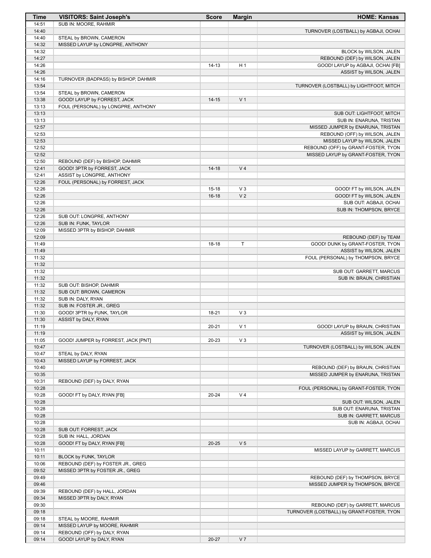| Time           | <b>VISITORS: Saint Joseph's</b>                    | <b>Score</b> | <b>Margin</b>  | <b>HOME: Kansas</b>                                                    |
|----------------|----------------------------------------------------|--------------|----------------|------------------------------------------------------------------------|
| 14:51          | SUB IN: MOORE, RAHMIR                              |              |                |                                                                        |
| 14:40          |                                                    |              |                | TURNOVER (LOSTBALL) by AGBAJI, OCHAI                                   |
| 14:40          | STEAL by BROWN, CAMERON                            |              |                |                                                                        |
| 14:32<br>14:32 | MISSED LAYUP by LONGPRE, ANTHONY                   |              |                | BLOCK by WILSON, JALEN                                                 |
| 14:27          |                                                    |              |                | REBOUND (DEF) by WILSON, JALEN                                         |
| 14:26          |                                                    | $14 - 13$    | H <sub>1</sub> | GOOD! LAYUP by AGBAJI, OCHAI [FB]                                      |
| 14:26          |                                                    |              |                | ASSIST by WILSON, JALEN                                                |
| 14:16          | TURNOVER (BADPASS) by BISHOP, DAHMIR               |              |                |                                                                        |
| 13:54          |                                                    |              |                | TURNOVER (LOSTBALL) by LIGHTFOOT, MITCH                                |
| 13:54          | STEAL by BROWN, CAMERON                            |              |                |                                                                        |
| 13:38          | GOOD! LAYUP by FORREST, JACK                       | $14 - 15$    | V <sub>1</sub> |                                                                        |
| 13:13          | FOUL (PERSONAL) by LONGPRE, ANTHONY                |              |                |                                                                        |
| 13:13<br>13:13 |                                                    |              |                | SUB OUT: LIGHTFOOT, MITCH<br>SUB IN: ENARUNA, TRISTAN                  |
| 12:57          |                                                    |              |                | MISSED JUMPER by ENARUNA, TRISTAN                                      |
| 12:53          |                                                    |              |                | REBOUND (OFF) by WILSON, JALEN                                         |
| 12:53          |                                                    |              |                | MISSED LAYUP by WILSON, JALEN                                          |
| 12:52          |                                                    |              |                | REBOUND (OFF) by GRANT-FOSTER, TYON                                    |
| 12:52          |                                                    |              |                | MISSED LAYUP by GRANT-FOSTER, TYON                                     |
| 12:50          | REBOUND (DEF) by BISHOP, DAHMIR                    |              |                |                                                                        |
| 12:41          | GOOD! 3PTR by FORREST, JACK                        | $14-18$      | V <sub>4</sub> |                                                                        |
| 12:41<br>12:26 | ASSIST by LONGPRE, ANTHONY                         |              |                |                                                                        |
| 12:26          | FOUL (PERSONAL) by FORREST, JACK                   | $15-18$      | $V_3$          | GOOD! FT by WILSON, JALEN                                              |
| 12:26          |                                                    | $16 - 18$    | V <sub>2</sub> | GOOD! FT by WILSON, JALEN                                              |
| 12:26          |                                                    |              |                | SUB OUT: AGBAJI, OCHAI                                                 |
| 12:26          |                                                    |              |                | SUB IN: THOMPSON, BRYCE                                                |
| 12:26          | SUB OUT: LONGPRE, ANTHONY                          |              |                |                                                                        |
| 12:26          | SUB IN: FUNK, TAYLOR                               |              |                |                                                                        |
| 12:09          | MISSED 3PTR by BISHOP, DAHMIR                      |              |                |                                                                        |
| 12:09          |                                                    |              |                | REBOUND (DEF) by TEAM                                                  |
| 11:49<br>11:49 |                                                    | $18-18$      | T              | GOOD! DUNK by GRANT-FOSTER, TYON<br>ASSIST by WILSON, JALEN            |
| 11:32          |                                                    |              |                | FOUL (PERSONAL) by THOMPSON, BRYCE                                     |
| 11:32          |                                                    |              |                |                                                                        |
| 11:32          |                                                    |              |                | SUB OUT: GARRETT, MARCUS                                               |
| 11:32          |                                                    |              |                | SUB IN: BRAUN, CHRISTIAN                                               |
| 11:32          | SUB OUT: BISHOP, DAHMIR                            |              |                |                                                                        |
| 11:32          | SUB OUT: BROWN, CAMERON                            |              |                |                                                                        |
| 11:32          | SUB IN: DALY, RYAN                                 |              |                |                                                                        |
| 11:32<br>11:30 | SUB IN: FOSTER JR., GREG                           | 18-21        | $V_3$          |                                                                        |
| 11:30          | GOOD! 3PTR by FUNK, TAYLOR<br>ASSIST by DALY, RYAN |              |                |                                                                        |
| 11:19          |                                                    | $20 - 21$    | V <sub>1</sub> | GOOD! LAYUP by BRAUN, CHRISTIAN                                        |
| 11:19          |                                                    |              |                | ASSIST by WILSON, JALEN                                                |
| 11:05          | GOOD! JUMPER by FORREST, JACK [PNT]                | 20-23        | $V_3$          |                                                                        |
| 10:47          |                                                    |              |                | TURNOVER (LOSTBALL) by WILSON, JALEN                                   |
| 10:47          | STEAL by DALY, RYAN                                |              |                |                                                                        |
| 10:43          | MISSED LAYUP by FORREST, JACK                      |              |                |                                                                        |
| 10:40<br>10:35 |                                                    |              |                | REBOUND (DEF) by BRAUN, CHRISTIAN<br>MISSED JUMPER by ENARUNA, TRISTAN |
| 10:31          | REBOUND (DEF) by DALY, RYAN                        |              |                |                                                                        |
| 10:28          |                                                    |              |                | FOUL (PERSONAL) by GRANT-FOSTER, TYON                                  |
| 10:28          | GOOD! FT by DALY, RYAN [FB]                        | 20-24        | V <sub>4</sub> |                                                                        |
| 10:28          |                                                    |              |                | SUB OUT: WILSON, JALEN                                                 |
| 10:28          |                                                    |              |                | SUB OUT: ENARUNA, TRISTAN                                              |
| 10:28          |                                                    |              |                | SUB IN: GARRETT, MARCUS                                                |
| 10:28          |                                                    |              |                | SUB IN: AGBAJI, OCHAI                                                  |
| 10:28<br>10:28 | SUB OUT: FORREST, JACK<br>SUB IN: HALL, JORDAN     |              |                |                                                                        |
| 10:28          | GOOD! FT by DALY, RYAN [FB]                        | $20 - 25$    | V <sub>5</sub> |                                                                        |
| 10:11          |                                                    |              |                | MISSED LAYUP by GARRETT, MARCUS                                        |
| 10:11          | BLOCK by FUNK, TAYLOR                              |              |                |                                                                        |
| 10:06          | REBOUND (DEF) by FOSTER JR., GREG                  |              |                |                                                                        |
| 09:52          | MISSED 3PTR by FOSTER JR., GREG                    |              |                |                                                                        |
| 09:49          |                                                    |              |                | REBOUND (DEF) by THOMPSON, BRYCE                                       |
| 09:46          |                                                    |              |                | MISSED JUMPER by THOMPSON, BRYCE                                       |
| 09:39<br>09:34 | REBOUND (DEF) by HALL, JORDAN                      |              |                |                                                                        |
| 09:30          | MISSED 3PTR by DALY, RYAN                          |              |                | REBOUND (DEF) by GARRETT, MARCUS                                       |
| 09:18          |                                                    |              |                | TURNOVER (LOSTBALL) by GRANT-FOSTER, TYON                              |
| 09:18          | STEAL by MOORE, RAHMIR                             |              |                |                                                                        |
| 09:14          | MISSED LAYUP by MOORE, RAHMIR                      |              |                |                                                                        |
| 09:14          | REBOUND (OFF) by DALY, RYAN                        |              |                |                                                                        |
| 09:14          | GOOD! LAYUP by DALY, RYAN                          | 20-27        | V <sub>7</sub> |                                                                        |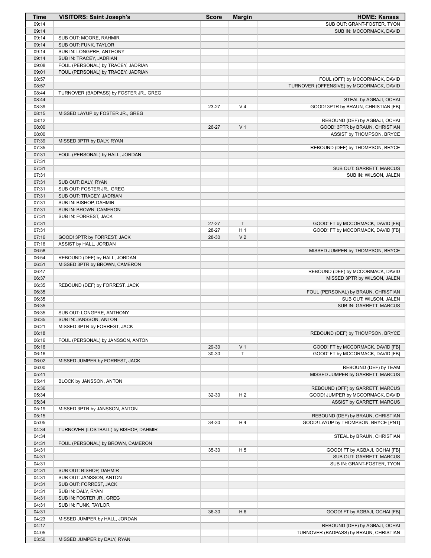| Time           | <b>VISITORS: Saint Joseph's</b>                                | <b>Score</b> | <b>Margin</b>  | <b>HOME: Kansas</b>                                              |
|----------------|----------------------------------------------------------------|--------------|----------------|------------------------------------------------------------------|
| 09:14          |                                                                |              |                | SUB OUT: GRANT-FOSTER, TYON                                      |
| 09:14          |                                                                |              |                | SUB IN: MCCORMACK, DAVID                                         |
| 09:14<br>09:14 | SUB OUT: MOORE, RAHMIR<br>SUB OUT: FUNK, TAYLOR                |              |                |                                                                  |
| 09:14          | SUB IN: LONGPRE, ANTHONY                                       |              |                |                                                                  |
| 09:14          | SUB IN: TRACEY, JADRIAN                                        |              |                |                                                                  |
| 09:08          | FOUL (PERSONAL) by TRACEY, JADRIAN                             |              |                |                                                                  |
| 09:01          | FOUL (PERSONAL) by TRACEY, JADRIAN                             |              |                |                                                                  |
| 08:57          |                                                                |              |                | FOUL (OFF) by MCCORMACK, DAVID                                   |
| 08:57          |                                                                |              |                | TURNOVER (OFFENSIVE) by MCCORMACK, DAVID                         |
| 08:44          | TURNOVER (BADPASS) by FOSTER JR., GREG                         |              |                |                                                                  |
| 08:44          |                                                                |              |                | STEAL by AGBAJI, OCHAI                                           |
| 08:39          |                                                                | 23-27        | V <sub>4</sub> | GOOD! 3PTR by BRAUN, CHRISTIAN [FB]                              |
| 08:15<br>08:12 | MISSED LAYUP by FOSTER JR., GREG                               |              |                |                                                                  |
| 08:00          |                                                                | 26-27        | V <sub>1</sub> | REBOUND (DEF) by AGBAJI, OCHAI<br>GOOD! 3PTR by BRAUN, CHRISTIAN |
| 08:00          |                                                                |              |                | ASSIST by THOMPSON, BRYCE                                        |
| 07:39          | MISSED 3PTR by DALY, RYAN                                      |              |                |                                                                  |
| 07:35          |                                                                |              |                | REBOUND (DEF) by THOMPSON, BRYCE                                 |
| 07:31          | FOUL (PERSONAL) by HALL, JORDAN                                |              |                |                                                                  |
| 07:31          |                                                                |              |                |                                                                  |
| 07:31          |                                                                |              |                | SUB OUT: GARRETT, MARCUS                                         |
| 07:31          |                                                                |              |                | SUB IN: WILSON, JALEN                                            |
| 07:31          | SUB OUT: DALY, RYAN                                            |              |                |                                                                  |
| 07:31<br>07:31 | SUB OUT: FOSTER JR., GREG<br>SUB OUT: TRACEY, JADRIAN          |              |                |                                                                  |
| 07:31          | SUB IN: BISHOP, DAHMIR                                         |              |                |                                                                  |
| 07:31          | SUB IN: BROWN, CAMERON                                         |              |                |                                                                  |
| 07:31          | SUB IN: FORREST, JACK                                          |              |                |                                                                  |
| 07:31          |                                                                | $27 - 27$    | $\mathsf{T}$   | GOOD! FT by MCCORMACK, DAVID [FB]                                |
| 07:31          |                                                                | 28-27        | H <sub>1</sub> | GOOD! FT by MCCORMACK, DAVID [FB]                                |
| 07:16          | GOOD! 3PTR by FORREST, JACK                                    | 28-30        | V <sub>2</sub> |                                                                  |
| 07:16          | ASSIST by HALL, JORDAN                                         |              |                |                                                                  |
| 06:58          |                                                                |              |                | MISSED JUMPER by THOMPSON, BRYCE                                 |
| 06:54<br>06:51 | REBOUND (DEF) by HALL, JORDAN<br>MISSED 3PTR by BROWN, CAMERON |              |                |                                                                  |
| 06:47          |                                                                |              |                | REBOUND (DEF) by MCCORMACK, DAVID                                |
| 06:37          |                                                                |              |                | MISSED 3PTR by WILSON, JALEN                                     |
| 06:35          | REBOUND (DEF) by FORREST, JACK                                 |              |                |                                                                  |
| 06:35          |                                                                |              |                | FOUL (PERSONAL) by BRAUN, CHRISTIAN                              |
| 06:35          |                                                                |              |                | SUB OUT: WILSON, JALEN                                           |
| 06:35          |                                                                |              |                | SUB IN: GARRETT, MARCUS                                          |
| 06:35          | SUB OUT: LONGPRE, ANTHONY                                      |              |                |                                                                  |
| 06:35          | SUB IN: JANSSON, ANTON                                         |              |                |                                                                  |
| 06:21<br>06:18 | MISSED 3PTR by FORREST, JACK                                   |              |                |                                                                  |
| 06:16          | FOUL (PERSONAL) by JANSSON, ANTON                              |              |                | REBOUND (DEF) by THOMPSON, BRYCE                                 |
| 06:16          |                                                                | 29-30        | V <sub>1</sub> | GOOD! FT by MCCORMACK, DAVID [FB]                                |
| 06:16          |                                                                | 30-30        | T              | GOOD! FT by MCCORMACK, DAVID [FB]                                |
| 06:02          | MISSED JUMPER by FORREST, JACK                                 |              |                |                                                                  |
| 06:00          |                                                                |              |                | REBOUND (DEF) by TEAM                                            |
| 05:41          |                                                                |              |                | MISSED JUMPER by GARRETT, MARCUS                                 |
| 05:41          | BLOCK by JANSSON, ANTON                                        |              |                |                                                                  |
| 05:36          |                                                                |              |                | REBOUND (OFF) by GARRETT, MARCUS                                 |
| 05:34<br>05:34 |                                                                | 32-30        | H <sub>2</sub> | GOOD! JUMPER by MCCORMACK, DAVID<br>ASSIST by GARRETT, MARCUS    |
| 05:19          | MISSED 3PTR by JANSSON, ANTON                                  |              |                |                                                                  |
| 05:15          |                                                                |              |                | REBOUND (DEF) by BRAUN, CHRISTIAN                                |
| 05:05          |                                                                | 34-30        | H4             | GOOD! LAYUP by THOMPSON, BRYCE [PNT]                             |
| 04:34          | TURNOVER (LOSTBALL) by BISHOP, DAHMIR                          |              |                |                                                                  |
| 04:34          |                                                                |              |                | STEAL by BRAUN, CHRISTIAN                                        |
| 04:31          | FOUL (PERSONAL) by BROWN, CAMERON                              |              |                |                                                                  |
| 04:31          |                                                                | 35-30        | H <sub>5</sub> | GOOD! FT by AGBAJI, OCHAI [FB]                                   |
| 04:31          |                                                                |              |                | SUB OUT: GARRETT, MARCUS                                         |
| 04:31          |                                                                |              |                | SUB IN: GRANT-FOSTER, TYON                                       |
| 04:31<br>04:31 | SUB OUT: BISHOP, DAHMIR<br>SUB OUT: JANSSON, ANTON             |              |                |                                                                  |
| 04:31          | SUB OUT: FORREST, JACK                                         |              |                |                                                                  |
| 04:31          | SUB IN: DALY, RYAN                                             |              |                |                                                                  |
| 04:31          | SUB IN: FOSTER JR., GREG                                       |              |                |                                                                  |
| 04:31          | SUB IN: FUNK, TAYLOR                                           |              |                |                                                                  |
| 04:31          |                                                                | 36-30        | H <sub>6</sub> | GOOD! FT by AGBAJI, OCHAI [FB]                                   |
| 04:23          | MISSED JUMPER by HALL, JORDAN                                  |              |                |                                                                  |
| 04:17          |                                                                |              |                | REBOUND (DEF) by AGBAJI, OCHAI                                   |
| 04:05          |                                                                |              |                | TURNOVER (BADPASS) by BRAUN, CHRISTIAN                           |
| 03:50          | MISSED JUMPER by DALY, RYAN                                    |              |                |                                                                  |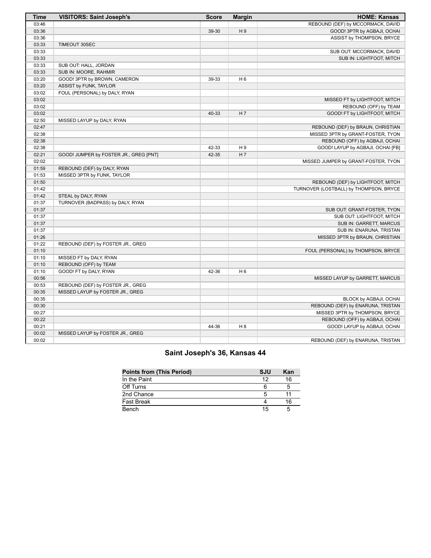| <b>Time</b> | <b>VISITORS: Saint Joseph's</b>        | <b>Score</b> | <b>Margin</b>  | <b>HOME: Kansas</b>                    |
|-------------|----------------------------------------|--------------|----------------|----------------------------------------|
| 03:46       |                                        |              |                | REBOUND (DEF) by MCCORMACK, DAVID      |
| 03:36       |                                        | 39-30        | H9             | GOOD! 3PTR by AGBAJI, OCHAI            |
| 03:36       |                                        |              |                | ASSIST by THOMPSON, BRYCE              |
| 03:33       | TIMEOUT 30SEC                          |              |                |                                        |
| 03:33       |                                        |              |                | SUB OUT: MCCORMACK, DAVID              |
| 03:33       |                                        |              |                | SUB IN: LIGHTFOOT, MITCH               |
| 03:33       | SUB OUT: HALL, JORDAN                  |              |                |                                        |
| 03:33       | SUB IN: MOORE, RAHMIR                  |              |                |                                        |
| 03:20       | GOOD! 3PTR by BROWN, CAMERON           | 39-33        | H <sub>6</sub> |                                        |
| 03:20       | ASSIST by FUNK, TAYLOR                 |              |                |                                        |
| 03:02       | FOUL (PERSONAL) by DALY, RYAN          |              |                |                                        |
| 03:02       |                                        |              |                | MISSED FT by LIGHTFOOT, MITCH          |
| 03:02       |                                        |              |                | REBOUND (OFF) by TEAM                  |
| 03:02       |                                        | 40-33        | H <sub>7</sub> | GOOD! FT by LIGHTFOOT, MITCH           |
| 02:50       | MISSED LAYUP by DALY, RYAN             |              |                |                                        |
| 02:47       |                                        |              |                | REBOUND (DEF) by BRAUN, CHRISTIAN      |
| 02:38       |                                        |              |                | MISSED 3PTR by GRANT-FOSTER, TYON      |
| 02:38       |                                        |              |                | REBOUND (OFF) by AGBAJI, OCHAI         |
| 02:38       |                                        | 42-33        | H9             | GOOD! LAYUP by AGBAJI, OCHAI [FB]      |
| 02:21       | GOOD! JUMPER by FOSTER JR., GREG [PNT] | 42-35        | H <sub>7</sub> |                                        |
| 02:02       |                                        |              |                | MISSED JUMPER by GRANT-FOSTER, TYON    |
| 01:59       | REBOUND (DEF) by DALY, RYAN            |              |                |                                        |
| 01:53       | MISSED 3PTR by FUNK, TAYLOR            |              |                |                                        |
| 01:50       |                                        |              |                | REBOUND (DEF) by LIGHTFOOT, MITCH      |
| 01:42       |                                        |              |                | TURNOVER (LOSTBALL) by THOMPSON, BRYCE |
| 01:42       | STEAL by DALY, RYAN                    |              |                |                                        |
| 01:37       | TURNOVER (BADPASS) by DALY, RYAN       |              |                |                                        |
| 01:37       |                                        |              |                | SUB OUT: GRANT-FOSTER, TYON            |
| 01:37       |                                        |              |                | SUB OUT: LIGHTFOOT, MITCH              |
| 01:37       |                                        |              |                | SUB IN: GARRETT, MARCUS                |
| 01:37       |                                        |              |                | SUB IN: ENARUNA, TRISTAN               |
| 01:26       |                                        |              |                | MISSED 3PTR by BRAUN, CHRISTIAN        |
| 01:22       | REBOUND (DEF) by FOSTER JR., GREG      |              |                |                                        |
| 01:10       |                                        |              |                | FOUL (PERSONAL) by THOMPSON, BRYCE     |
| 01:10       | MISSED FT by DALY, RYAN                |              |                |                                        |
| 01:10       | REBOUND (OFF) by TEAM                  |              |                |                                        |
| 01:10       | GOOD! FT by DALY, RYAN                 | 42-36        | H <sub>6</sub> |                                        |
| 00:56       |                                        |              |                | MISSED LAYUP by GARRETT, MARCUS        |
| 00:53       | REBOUND (DEF) by FOSTER JR., GREG      |              |                |                                        |
| 00:35       | MISSED LAYUP by FOSTER JR., GREG       |              |                |                                        |
| 00:35       |                                        |              |                | BLOCK by AGBAJI, OCHAI                 |
| 00:30       |                                        |              |                | REBOUND (DEF) by ENARUNA, TRISTAN      |
| 00:27       |                                        |              |                | MISSED 3PTR by THOMPSON, BRYCE         |
| 00:22       |                                        |              |                | REBOUND (OFF) by AGBAJI, OCHAI         |
| 00:21       |                                        | 44-36        | H <sub>8</sub> | GOOD! LAYUP by AGBAJI, OCHAI           |
| 00:02       | MISSED LAYUP by FOSTER JR., GREG       |              |                |                                        |
| 00:02       |                                        |              |                | REBOUND (DEF) by ENARUNA, TRISTAN      |

# **Saint Joseph's 36, Kansas 44**

| <b>Points from (This Period)</b> | <b>SJU</b> | Kan |
|----------------------------------|------------|-----|
| In the Paint                     | 12         | 16  |
| Off Turns                        |            |     |
| 2nd Chance                       |            |     |
| Fast Break                       |            | 16  |
| Bench                            | 15         |     |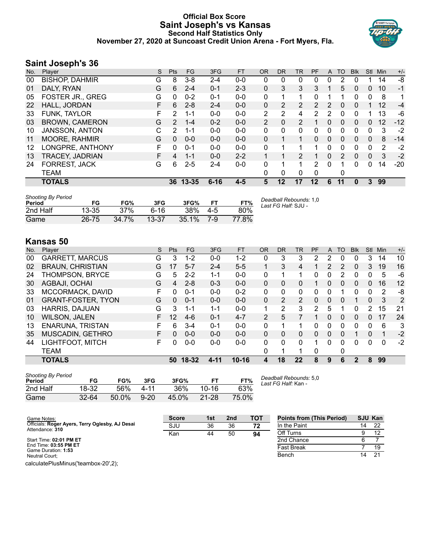## **Official Box Score Saint Joseph's vs Kansas Second Half Statistics Only November 27, 2020 at Suncoast Credit Union Arena - Fort Myers, Fla.**



## **Saint Joseph's 36**

| No. | Player                  | S  | Pts           | FG.       | 3FG      | <b>FT</b> | <b>OR</b> | <b>DR</b>      | <b>TR</b>             | PF | A            | <b>TO</b> | <b>Blk</b> | Stl      | Min | $+/-$ |
|-----|-------------------------|----|---------------|-----------|----------|-----------|-----------|----------------|-----------------------|----|--------------|-----------|------------|----------|-----|-------|
| 00  | <b>BISHOP, DAHMIR</b>   | G  | 8             | $3 - 8$   | $2 - 4$  | $0-0$     | 0         | 0              | 0                     | 0  | 0            |           |            |          | 14  | -8    |
| 01  | DALY, RYAN              | G  | 6             | $2 - 4$   | $0 - 1$  | $2 - 3$   | $\Omega$  | 3              | 3                     | 3  |              | 5         | 0          | 0        | 10  | $-1$  |
| 05  | <b>FOSTER JR., GREG</b> | G  | 0             | $0 - 2$   | $0 - 1$  | $0-0$     | 0         |                | 1                     | 0  |              |           | 0          | 0        | 8   | 1     |
| 22  | HALL, JORDAN            | F  | 6             | $2 - 8$   | $2 - 4$  | $0 - 0$   | $\Omega$  | $\overline{2}$ | $\mathbf{2}^{\prime}$ | 2  | 2            | $\Omega$  | 0          |          | 12  | $-4$  |
| 33  | FUNK, TAYLOR            | F. | $\mathcal{P}$ | $1 - 1$   | $0 - 0$  | $0 - 0$   | 2         | 2              | 4                     | 2  | 2            | $\Omega$  | 0          |          | 13  | -6    |
| 03  | <b>BROWN, CAMERON</b>   | G  | 2             | $1 - 4$   | $0 - 2$  | $0 - 0$   | 2         | $\Omega$       | 2                     |    | 0            | 0         | 0          | 0        | 12  | $-12$ |
| 10  | <b>JANSSON, ANTON</b>   | C  | 2             | 1-1       | $0 - 0$  | $0 - 0$   | 0         | 0              | 0                     | 0  | 0            | 0         | 0          | 0        | 3   | $-2$  |
| 11  | <b>MOORE, RAHMIR</b>    | G  | $\Omega$      | $0 - 0$   | $0 - 0$  | $0 - 0$   | $\Omega$  |                | $\mathbf{1}$          | 0  | $\Omega$     | $\Omega$  | $\Omega$   | $\Omega$ | 8   | $-14$ |
| 12  | LONGPRE, ANTHONY        | F  | 0             | $0 - 1$   | $0 - 0$  | $0 - 0$   | 0         |                | 1                     |    | 0            | 0         | 0          | $\Omega$ | 2   | $-2$  |
| 13  | TRACEY, JADRIAN         | F  | 4             | $1 - 1$   | $0 - 0$  | $2 - 2$   |           |                | 2                     | 1  | $\mathbf{0}$ | 2         | $\Omega$   | $\Omega$ | 3   | $-2$  |
| 24  | FORREST, JACK           | G  | 6             | $2 - 5$   | $2 - 4$  | $0 - 0$   | 0         |                | 1                     | 2  | $\Omega$     |           | 0          | 0        | 14  | $-20$ |
|     | TEAM                    |    |               |           |          |           | 0         | 0              | 0                     | 0  |              | 0         |            |          |     |       |
|     | <b>TOTALS</b>           |    | 36            | $13 - 35$ | $6 - 16$ | $4 - 5$   | 5         | 12             | 17                    | 12 | 6            | 11        | 0          | 3        | 99  |       |

| <b>Shooting By Period</b><br>Period | FG    | FG%   | 3FG       | 3FG%     |     | FT%   | Deadball Rebounds: 1,0<br>Last FG Half: SJU - |
|-------------------------------------|-------|-------|-----------|----------|-----|-------|-----------------------------------------------|
| 2nd Half                            | 13-35 | 37%   | ჩ-16      | 38%      | 4-5 | 80%   |                                               |
| Game                                | 26-75 | 34.7% | $13 - 37$ | $35.1\%$ | 7-9 | 77.8% |                                               |

# **Kansas 50**

| No. | Plaver                    | S  | <b>Pts</b>      | <b>FG</b> | 3FG      | <b>FT</b> | <b>OR</b> | <b>DR</b> | TR             | PF | A            | TO | <b>BIK</b> | Stl           | Min      | $+/-$ |
|-----|---------------------------|----|-----------------|-----------|----------|-----------|-----------|-----------|----------------|----|--------------|----|------------|---------------|----------|-------|
| 00  | <b>GARRETT, MARCUS</b>    | G  | 3               | 1-2       | $0 - 0$  | $1 - 2$   | 0         | 3         | 3              | 2  |              | 0  | 0          | 3             | 14       | 10    |
| 02  | <b>BRAUN, CHRISTIAN</b>   | G  | 17              | $5 - 7$   | $2 - 4$  | $5 - 5$   |           | 3         | 4              |    | 2            | 2  | 0          | 3             | 19       | 16    |
| 24  | THOMPSON, BRYCE           | G  | 5               | $2 - 2$   | $1 - 1$  | $0-0$     | 0         |           |                | 0  | 0            | 2  | 0          | 0             | 5        | $-6$  |
| 30  | AGBAJI, OCHAI             | G  | 4               | $2 - 8$   | $0 - 3$  | $0 - 0$   | $\Omega$  | $\Omega$  | 0              |    | 0            | 0  | 0          | $\mathbf{0}$  | 16       | 12    |
| 33  | MCCORMACK, DAVID          | F  | 0               | $0 - 1$   | $0 - 0$  | $0 - 2$   | 0         | 0         | 0              | 0  | 0            |    | 0          | 0             | 2        | -8    |
| 01  | <b>GRANT-FOSTER, TYON</b> | G  | 0               | $0 - 1$   | $0 - 0$  | $0 - 0$   | $\Omega$  | 2         | $\overline{2}$ | 0  | $\Omega$     | 0  |            | $\Omega$      | 3        | 2     |
| 03  | <b>HARRIS, DAJUAN</b>     | G  | 3               | $1 - 1$   | $1 - 1$  | $0 - 0$   | 1         | 2         | 3              | 2  | 5            |    | 0          | $\mathcal{P}$ | 15       | 21    |
| 10  | <b>WILSON, JALEN</b>      | F. | 12 <sup>°</sup> | $4-6$     | $0 - 1$  | $4 - 7$   | 2         | 5         |                |    | $\mathbf{0}$ | 0  | 0          | $\Omega$      | 17       | 24    |
| 13  | <b>ENARUNA, TRISTAN</b>   | F  | 6               | $3 - 4$   | $0 - 1$  | $0 - 0$   | $\Omega$  |           | 1              | 0  | 0            | 0  | $\Omega$   | 0             | 6        | 3     |
| 35  | MUSCADIN, GETHRO          | F  | 0               | $0 - 0$   | $0 - 0$  | $0 - 0$   | $\Omega$  | $\Omega$  | 0              | 0  | $\Omega$     | 0  |            | $\Omega$      |          | $-2$  |
| 44  | LIGHTFOOT, MITCH          | F  | O               | $0 - 0$   | $0-0$    | $0 - 0$   | 0         | 0         | 0              | 1  | $\Omega$     | 0  | U          | 0             | $\Omega$ | $-2$  |
|     | <b>TEAM</b>               |    |                 |           |          |           | 0         |           |                | 0  |              | 0  |            |               |          |       |
|     | <b>TOTALS</b>             |    | 50              | 18-32     | $4 - 11$ | $10 - 16$ | 4         | 18        | 22             | 8  | 9            | 6  | 2          | 8             | 99       |       |
|     |                           |    |                 |           |          |           |           |           |                |    |              |    |            |               |          |       |

| <b>Shooting By Period</b><br>Period | FG        | FG%   | 3FG      | 3FG%  | FТ    | FT%   |
|-------------------------------------|-----------|-------|----------|-------|-------|-------|
| 2nd Half                            | 18-32     | 56%   | 4-11     | 36%   | 10-16 | 63%   |
| Game                                | $32 - 64$ | 50.0% | $9 - 20$ | 45.0% | 21-28 | 75.0% |

*Deadball Rebounds:* 5,0 *Last FG Half:* Kan -

| Game Notes:                                                        | <b>Score</b> | 1st | 2 <sub>nd</sub> | <b>TOT</b> | <b>Points from (This Period)</b> | SJU Kan |    |
|--------------------------------------------------------------------|--------------|-----|-----------------|------------|----------------------------------|---------|----|
| Officials: Roger Ayers, Terry Oglesby, AJ Desai<br>Attendance: 310 | SJU          | 36  | 36              | 72         | In the Paint                     | 14      | 22 |
|                                                                    | Kan          | 44  | 50              | 94         | Off Turns                        |         | 12 |
| Start Time: 02:01 PM ET                                            |              |     |                 |            | 2nd Chance                       |         |    |
| End Time: 03:55 PM ET<br>Game Duration: 1:53                       |              |     |                 |            | <b>Fast Break</b>                |         | 19 |
| Neutral Court:                                                     |              |     |                 |            | Bench                            | 14      | 21 |
| calculatePlusMinus('teambox-20',2);                                |              |     |                 |            |                                  |         |    |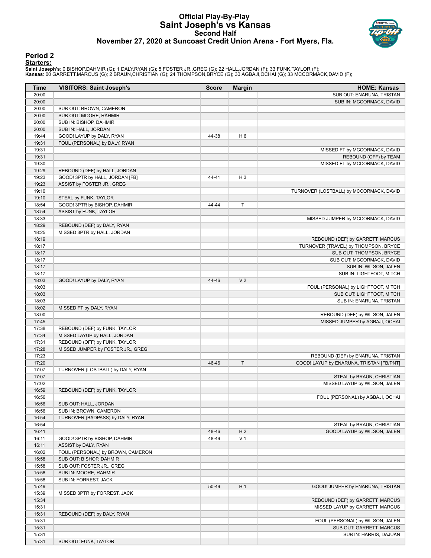#### **Official Play-By-Play Saint Joseph's vs Kansas Second Half November 27, 2020 at Suncoast Credit Union Arena - Fort Myers, Fla.**



#### **Period 2 Starters:**

**Saint Joseph's**: 0 BISHOP,DAHMIR (G); 1 DALY,RYAN (G); 5 FOSTER JR.,GREG (G); 22 HALL,JORDAN (F); 33 FUNK,TAYLOR (F);<br>**Kansas**: 00 GARRETT,MARCUS (G); 2 BRAUN,CHRISTIAN (G); 24 THOMPSON,BRYCE (G); 30 AGBAJI,OCHAI (G); 33

| <b>Time</b>    | <b>VISITORS: Saint Joseph's</b>                                  | <b>Score</b> | <b>Margin</b>  | <b>HOME: Kansas</b>                                        |
|----------------|------------------------------------------------------------------|--------------|----------------|------------------------------------------------------------|
| 20:00          |                                                                  |              |                | SUB OUT: ENARUNA, TRISTAN                                  |
| 20:00          |                                                                  |              |                | SUB IN: MCCORMACK, DAVID                                   |
| 20:00          | SUB OUT: BROWN, CAMERON                                          |              |                |                                                            |
| 20:00          | SUB OUT: MOORE, RAHMIR                                           |              |                |                                                            |
| 20:00          | SUB IN: BISHOP, DAHMIR                                           |              |                |                                                            |
| 20:00          | SUB IN: HALL, JORDAN                                             |              |                |                                                            |
| 19:44          | GOOD! LAYUP by DALY, RYAN                                        | 44-38        | H <sub>6</sub> |                                                            |
| 19:31          | FOUL (PERSONAL) by DALY, RYAN                                    |              |                |                                                            |
| 19:31          |                                                                  |              |                | MISSED FT by MCCORMACK, DAVID                              |
| 19:31<br>19:30 |                                                                  |              |                | REBOUND (OFF) by TEAM<br>MISSED FT by MCCORMACK, DAVID     |
| 19:29          |                                                                  |              |                |                                                            |
| 19:23          | REBOUND (DEF) by HALL, JORDAN<br>GOOD! 3PTR by HALL, JORDAN [FB] | 44-41        | $H_3$          |                                                            |
| 19:23          | ASSIST by FOSTER JR., GREG                                       |              |                |                                                            |
| 19:10          |                                                                  |              |                | TURNOVER (LOSTBALL) by MCCORMACK, DAVID                    |
| 19:10          | STEAL by FUNK, TAYLOR                                            |              |                |                                                            |
| 18:54          | GOOD! 3PTR by BISHOP, DAHMIR                                     | 44-44        | $\mathsf T$    |                                                            |
| 18:54          | ASSIST by FUNK, TAYLOR                                           |              |                |                                                            |
| 18:33          |                                                                  |              |                | MISSED JUMPER by MCCORMACK, DAVID                          |
| 18:29          | REBOUND (DEF) by DALY, RYAN                                      |              |                |                                                            |
| 18:25          | MISSED 3PTR by HALL, JORDAN                                      |              |                |                                                            |
| 18:19          |                                                                  |              |                | REBOUND (DEF) by GARRETT, MARCUS                           |
| 18:17          |                                                                  |              |                | TURNOVER (TRAVEL) by THOMPSON, BRYCE                       |
| 18:17          |                                                                  |              |                | SUB OUT: THOMPSON, BRYCE                                   |
| 18:17          |                                                                  |              |                | SUB OUT: MCCORMACK, DAVID                                  |
| 18:17          |                                                                  |              |                | SUB IN: WILSON, JALEN                                      |
| 18:17          |                                                                  |              |                | SUB IN: LIGHTFOOT, MITCH                                   |
| 18:03          | GOOD! LAYUP by DALY, RYAN                                        | 44-46        | V <sub>2</sub> |                                                            |
| 18:03          |                                                                  |              |                | FOUL (PERSONAL) by LIGHTFOOT, MITCH                        |
| 18:03          |                                                                  |              |                | SUB OUT: LIGHTFOOT, MITCH                                  |
| 18:03          |                                                                  |              |                | SUB IN: ENARUNA, TRISTAN                                   |
| 18:02          | MISSED FT by DALY, RYAN                                          |              |                |                                                            |
| 18:00          |                                                                  |              |                | REBOUND (DEF) by WILSON, JALEN                             |
| 17:45          |                                                                  |              |                | MISSED JUMPER by AGBAJI, OCHAI                             |
| 17:38          | REBOUND (DEF) by FUNK, TAYLOR                                    |              |                |                                                            |
| 17:34          | MISSED LAYUP by HALL, JORDAN                                     |              |                |                                                            |
| 17:31          | REBOUND (OFF) by FUNK, TAYLOR                                    |              |                |                                                            |
| 17:28          | MISSED JUMPER by FOSTER JR., GREG                                |              |                |                                                            |
| 17:23          |                                                                  |              |                | REBOUND (DEF) by ENARUNA, TRISTAN                          |
| 17:20          |                                                                  | 46-46        | $\top$         | GOOD! LAYUP by ENARUNA, TRISTAN [FB/PNT]                   |
| 17:07          | TURNOVER (LOSTBALL) by DALY, RYAN                                |              |                |                                                            |
| 17:07          |                                                                  |              |                | STEAL by BRAUN, CHRISTIAN<br>MISSED LAYUP by WILSON, JALEN |
| 17:02          |                                                                  |              |                |                                                            |
| 16:59<br>16:56 | REBOUND (DEF) by FUNK, TAYLOR                                    |              |                | FOUL (PERSONAL) by AGBAJI, OCHAI                           |
| 16:56          | SUB OUT: HALL, JORDAN                                            |              |                |                                                            |
| 16:56          | SUB IN: BROWN, CAMERON                                           |              |                |                                                            |
| 16:54          | TURNOVER (BADPASS) by DALY, RYAN                                 |              |                |                                                            |
| 16:54          |                                                                  |              |                | STEAL by BRAUN, CHRISTIAN                                  |
| 16:41          |                                                                  | 48-46        | H <sub>2</sub> | GOOD! LAYUP by WILSON, JALEN                               |
| 16:11          | GOOD! 3PTR by BISHOP, DAHMIR                                     | 48-49        | V <sub>1</sub> |                                                            |
| 16:11          | ASSIST by DALY, RYAN                                             |              |                |                                                            |
| 16:02          | FOUL (PERSONAL) by BROWN, CAMERON                                |              |                |                                                            |
| 15:58          | SUB OUT: BISHOP, DAHMIR                                          |              |                |                                                            |
| 15:58          | SUB OUT: FOSTER JR., GREG                                        |              |                |                                                            |
| 15:58          | SUB IN: MOORE, RAHMIR                                            |              |                |                                                            |
| 15:58          | SUB IN: FORREST, JACK                                            |              |                |                                                            |
| 15:49          |                                                                  | 50-49        | H <sub>1</sub> | GOOD! JUMPER by ENARUNA, TRISTAN                           |
| 15:39          | MISSED 3PTR by FORREST, JACK                                     |              |                |                                                            |
| 15:34          |                                                                  |              |                | REBOUND (DEF) by GARRETT, MARCUS                           |
| 15:31          |                                                                  |              |                | MISSED LAYUP by GARRETT, MARCUS                            |
| 15:31          | REBOUND (DEF) by DALY, RYAN                                      |              |                |                                                            |
| 15:31          |                                                                  |              |                | FOUL (PERSONAL) by WILSON, JALEN                           |
| 15:31          |                                                                  |              |                | SUB OUT: GARRETT, MARCUS                                   |
| 15:31          |                                                                  |              |                | SUB IN: HARRIS, DAJUAN                                     |
| 15:31          | SUB OUT: FUNK, TAYLOR                                            |              |                |                                                            |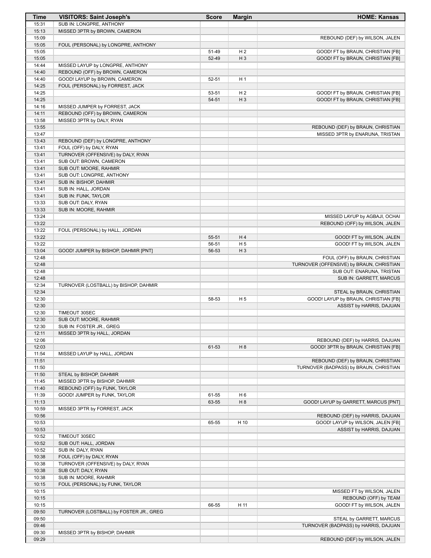| <b>Time</b>    | <b>VISITORS: Saint Joseph's</b>                                     | <b>Score</b> | <b>Margin</b>  | <b>HOME: Kansas</b>                      |
|----------------|---------------------------------------------------------------------|--------------|----------------|------------------------------------------|
| 15:31          | SUB IN: LONGPRE, ANTHONY                                            |              |                |                                          |
| 15:13          | MISSED 3PTR by BROWN, CAMERON                                       |              |                |                                          |
| 15:09          |                                                                     |              |                | REBOUND (DEF) by WILSON, JALEN           |
| 15:05          | FOUL (PERSONAL) by LONGPRE, ANTHONY                                 |              |                |                                          |
| 15:05          |                                                                     | 51-49        | H <sub>2</sub> | GOOD! FT by BRAUN, CHRISTIAN [FB]        |
| 15:05          |                                                                     | 52-49        | $H_3$          | GOOD! FT by BRAUN, CHRISTIAN [FB]        |
| 14:44<br>14:40 | MISSED LAYUP by LONGPRE, ANTHONY<br>REBOUND (OFF) by BROWN, CAMERON |              |                |                                          |
| 14:40          | GOOD! LAYUP by BROWN, CAMERON                                       | 52-51        | H <sub>1</sub> |                                          |
| 14:25          | FOUL (PERSONAL) by FORREST, JACK                                    |              |                |                                          |
| 14:25          |                                                                     | 53-51        | H <sub>2</sub> | GOOD! FT by BRAUN, CHRISTIAN [FB]        |
| 14:25          |                                                                     | 54-51        | $H_3$          | GOOD! FT by BRAUN, CHRISTIAN [FB]        |
| 14:16          | MISSED JUMPER by FORREST, JACK                                      |              |                |                                          |
| 14:11          | REBOUND (OFF) by BROWN, CAMERON                                     |              |                |                                          |
| 13:58          | MISSED 3PTR by DALY, RYAN                                           |              |                |                                          |
| 13:55          |                                                                     |              |                | REBOUND (DEF) by BRAUN, CHRISTIAN        |
| 13:47          |                                                                     |              |                | MISSED 3PTR by ENARUNA, TRISTAN          |
| 13:43          | REBOUND (DEF) by LONGPRE, ANTHONY                                   |              |                |                                          |
| 13:41          | FOUL (OFF) by DALY, RYAN                                            |              |                |                                          |
| 13:41          | TURNOVER (OFFENSIVE) by DALY, RYAN                                  |              |                |                                          |
| 13:41          | SUB OUT: BROWN, CAMERON                                             |              |                |                                          |
| 13:41          | SUB OUT: MOORE, RAHMIR                                              |              |                |                                          |
| 13:41          | SUB OUT: LONGPRE, ANTHONY                                           |              |                |                                          |
| 13:41          | SUB IN: BISHOP, DAHMIR                                              |              |                |                                          |
| 13:41<br>13:41 | SUB IN: HALL, JORDAN<br>SUB IN: FUNK, TAYLOR                        |              |                |                                          |
| 13:33          | SUB OUT: DALY, RYAN                                                 |              |                |                                          |
| 13:33          | SUB IN: MOORE, RAHMIR                                               |              |                |                                          |
| 13:24          |                                                                     |              |                | MISSED LAYUP by AGBAJI, OCHAI            |
| 13:22          |                                                                     |              |                | REBOUND (OFF) by WILSON, JALEN           |
| 13:22          | FOUL (PERSONAL) by HALL, JORDAN                                     |              |                |                                          |
| 13:22          |                                                                     | 55-51        | H4             | GOOD! FT by WILSON, JALEN                |
| 13:22          |                                                                     | 56-51        | H <sub>5</sub> | GOOD! FT by WILSON, JALEN                |
| 13:04          | GOOD! JUMPER by BISHOP, DAHMIR [PNT]                                | 56-53        | $H_3$          |                                          |
| 12:48          |                                                                     |              |                | FOUL (OFF) by BRAUN, CHRISTIAN           |
| 12:48          |                                                                     |              |                | TURNOVER (OFFENSIVE) by BRAUN, CHRISTIAN |
| 12:48          |                                                                     |              |                | SUB OUT: ENARUNA, TRISTAN                |
| 12:48          |                                                                     |              |                | SUB IN: GARRETT, MARCUS                  |
| 12:34          | TURNOVER (LOSTBALL) by BISHOP, DAHMIR                               |              |                |                                          |
| 12:34          |                                                                     |              |                | STEAL by BRAUN, CHRISTIAN                |
| 12:30          |                                                                     | 58-53        | H <sub>5</sub> | GOOD! LAYUP by BRAUN, CHRISTIAN [FB]     |
| 12:30          |                                                                     |              |                | ASSIST by HARRIS, DAJUAN                 |
| 12:30<br>12:30 | TIMEOUT 30SEC<br>SUB OUT: MOORE, RAHMIR                             |              |                |                                          |
| 12:30          | SUB IN: FOSTER JR., GREG                                            |              |                |                                          |
| 12:11          | MISSED 3PTR by HALL, JORDAN                                         |              |                |                                          |
| 12:06          |                                                                     |              |                | REBOUND (DEF) by HARRIS, DAJUAN          |
| 12:03          |                                                                     | 61-53        | H <sub>8</sub> | GOOD! 3PTR by BRAUN, CHRISTIAN [FB]      |
| 11:54          | MISSED LAYUP by HALL, JORDAN                                        |              |                |                                          |
| 11:51          |                                                                     |              |                | REBOUND (DEF) by BRAUN, CHRISTIAN        |
| 11:50          |                                                                     |              |                | TURNOVER (BADPASS) by BRAUN, CHRISTIAN   |
| 11:50          | STEAL by BISHOP, DAHMIR                                             |              |                |                                          |
| 11:45          | MISSED 3PTR by BISHOP, DAHMIR                                       |              |                |                                          |
| 11:40          | REBOUND (OFF) by FUNK, TAYLOR                                       |              |                |                                          |
| 11:39          | GOOD! JUMPER by FUNK, TAYLOR                                        | 61-55        | H <sub>6</sub> |                                          |
| 11:13          |                                                                     | 63-55        | H <sub>8</sub> | GOOD! LAYUP by GARRETT, MARCUS [PNT]     |
| 10:59          | MISSED 3PTR by FORREST, JACK                                        |              |                |                                          |
| 10:56          |                                                                     |              |                | REBOUND (DEF) by HARRIS, DAJUAN          |
| 10:53          |                                                                     | 65-55        | H 10           | GOOD! LAYUP by WILSON, JALEN [FB]        |
| 10:53          |                                                                     |              |                | ASSIST by HARRIS, DAJUAN                 |
| 10:52          | TIMEOUT 30SEC                                                       |              |                |                                          |
| 10:52          | SUB OUT: HALL, JORDAN                                               |              |                |                                          |
| 10:52<br>10:38 | SUB IN: DALY, RYAN                                                  |              |                |                                          |
| 10:38          | FOUL (OFF) by DALY, RYAN<br>TURNOVER (OFFENSIVE) by DALY, RYAN      |              |                |                                          |
| 10:38          | SUB OUT: DALY, RYAN                                                 |              |                |                                          |
| 10:38          | SUB IN: MOORE, RAHMIR                                               |              |                |                                          |
| 10:15          | FOUL (PERSONAL) by FUNK, TAYLOR                                     |              |                |                                          |
| 10:15          |                                                                     |              |                | MISSED FT by WILSON, JALEN               |
| 10:15          |                                                                     |              |                | REBOUND (OFF) by TEAM                    |
| 10:15          |                                                                     | 66-55        | H 11           | GOOD! FT by WILSON, JALEN                |
| 09:50          | TURNOVER (LOSTBALL) by FOSTER JR., GREG                             |              |                |                                          |
| 09:50          |                                                                     |              |                | STEAL by GARRETT, MARCUS                 |
| 09:46          |                                                                     |              |                | TURNOVER (BADPASS) by HARRIS, DAJUAN     |
| 09:30          | MISSED 3PTR by BISHOP, DAHMIR                                       |              |                |                                          |
| 09:29          |                                                                     |              |                | REBOUND (DEF) by WILSON, JALEN           |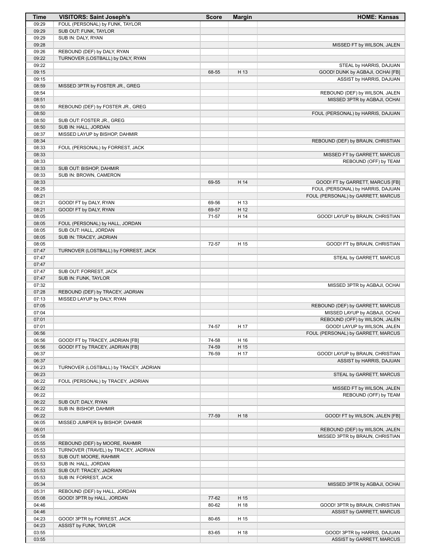| Time           | <b>VISITORS: Saint Joseph's</b>                       | <b>Score</b> | <b>Margin</b> | <b>HOME: Kansas</b>                |
|----------------|-------------------------------------------------------|--------------|---------------|------------------------------------|
| 09:29          | FOUL (PERSONAL) by FUNK, TAYLOR                       |              |               |                                    |
| 09:29          | SUB OUT: FUNK, TAYLOR                                 |              |               |                                    |
| 09:29          | SUB IN: DALY, RYAN                                    |              |               |                                    |
| 09:28          |                                                       |              |               | MISSED FT by WILSON, JALEN         |
| 09:26          | REBOUND (DEF) by DALY, RYAN                           |              |               |                                    |
| 09:22<br>09:22 | TURNOVER (LOSTBALL) by DALY, RYAN                     |              |               | STEAL by HARRIS, DAJUAN            |
| 09:15          |                                                       | 68-55        | H 13          | GOOD! DUNK by AGBAJI, OCHAI [FB]   |
| 09:15          |                                                       |              |               | ASSIST by HARRIS, DAJUAN           |
| 08:59          | MISSED 3PTR by FOSTER JR., GREG                       |              |               |                                    |
| 08:54          |                                                       |              |               | REBOUND (DEF) by WILSON, JALEN     |
| 08:51          |                                                       |              |               | MISSED 3PTR by AGBAJI, OCHAI       |
| 08:50          | REBOUND (DEF) by FOSTER JR., GREG                     |              |               |                                    |
| 08:50          |                                                       |              |               | FOUL (PERSONAL) by HARRIS, DAJUAN  |
| 08:50          | SUB OUT: FOSTER JR., GREG                             |              |               |                                    |
| 08:50          | SUB IN: HALL, JORDAN                                  |              |               |                                    |
| 08:37          | MISSED LAYUP by BISHOP, DAHMIR                        |              |               |                                    |
| 08:34          |                                                       |              |               | REBOUND (DEF) by BRAUN, CHRISTIAN  |
| 08:33          | FOUL (PERSONAL) by FORREST, JACK                      |              |               |                                    |
| 08:33          |                                                       |              |               | MISSED FT by GARRETT, MARCUS       |
| 08:33          | SUB OUT: BISHOP, DAHMIR                               |              |               | REBOUND (OFF) by TEAM              |
| 08:33<br>08:33 | SUB IN: BROWN, CAMERON                                |              |               |                                    |
| 08:33          |                                                       | 69-55        | H 14          | GOOD! FT by GARRETT, MARCUS [FB]   |
| 08:25          |                                                       |              |               | FOUL (PERSONAL) by HARRIS, DAJUAN  |
| 08:21          |                                                       |              |               | FOUL (PERSONAL) by GARRETT, MARCUS |
| 08:21          | GOOD! FT by DALY, RYAN                                | 69-56        | H 13          |                                    |
| 08:21          | GOOD! FT by DALY, RYAN                                | 69-57        | H 12          |                                    |
| 08:05          |                                                       | 71-57        | H 14          | GOOD! LAYUP by BRAUN, CHRISTIAN    |
| 08:05          | FOUL (PERSONAL) by HALL, JORDAN                       |              |               |                                    |
| 08:05          | SUB OUT: HALL, JORDAN                                 |              |               |                                    |
| 08:05          | SUB IN: TRACEY, JADRIAN                               |              |               |                                    |
| 08:05          |                                                       | 72-57        | H 15          | GOOD! FT by BRAUN, CHRISTIAN       |
| 07:47          | TURNOVER (LOSTBALL) by FORREST, JACK                  |              |               |                                    |
| 07:47          |                                                       |              |               | STEAL by GARRETT, MARCUS           |
| 07:47          |                                                       |              |               |                                    |
| 07:47          | SUB OUT: FORREST, JACK                                |              |               |                                    |
| 07:47          | SUB IN: FUNK, TAYLOR                                  |              |               |                                    |
| 07:32<br>07:28 | REBOUND (DEF) by TRACEY, JADRIAN                      |              |               | MISSED 3PTR by AGBAJI, OCHAI       |
| 07:13          | MISSED LAYUP by DALY, RYAN                            |              |               |                                    |
| 07:05          |                                                       |              |               | REBOUND (DEF) by GARRETT, MARCUS   |
| 07:04          |                                                       |              |               | MISSED LAYUP by AGBAJI, OCHAI      |
| 07:01          |                                                       |              |               | REBOUND (OFF) by WILSON, JALEN     |
| 07:01          |                                                       | 74-57        | H 17          | GOOD! LAYUP by WILSON, JALEN       |
| 06:56          |                                                       |              |               | FOUL (PERSONAL) by GARRETT, MARCUS |
| 06:56          | GOOD! FT by TRACEY, JADRIAN [FB]                      | 74-58        | H 16          |                                    |
| 06:56          | GOOD! FT by TRACEY, JADRIAN [FB]                      | 74-59        | H 15          |                                    |
| 06:37          |                                                       | 76-59        | H 17          | GOOD! LAYUP by BRAUN, CHRISTIAN    |
| 06:37          |                                                       |              |               | ASSIST by HARRIS, DAJUAN           |
| 06:23          | TURNOVER (LOSTBALL) by TRACEY, JADRIAN                |              |               |                                    |
| 06:23          |                                                       |              |               | STEAL by GARRETT, MARCUS           |
| 06:22          | FOUL (PERSONAL) by TRACEY, JADRIAN                    |              |               | MISSED FT by WILSON, JALEN         |
| 06:22<br>06:22 |                                                       |              |               | REBOUND (OFF) by TEAM              |
| 06:22          | SUB OUT: DALY, RYAN                                   |              |               |                                    |
| 06:22          | SUB IN: BISHOP, DAHMIR                                |              |               |                                    |
| 06:22          |                                                       | 77-59        | H 18          | GOOD! FT by WILSON, JALEN [FB]     |
| 06:05          | MISSED JUMPER by BISHOP, DAHMIR                       |              |               |                                    |
| 06:01          |                                                       |              |               | REBOUND (DEF) by WILSON, JALEN     |
| 05:58          |                                                       |              |               | MISSED 3PTR by BRAUN, CHRISTIAN    |
| 05:55          | REBOUND (DEF) by MOORE, RAHMIR                        |              |               |                                    |
| 05:53          | TURNOVER (TRAVEL) by TRACEY, JADRIAN                  |              |               |                                    |
| 05:53          | SUB OUT: MOORE, RAHMIR                                |              |               |                                    |
| 05:53          | SUB IN: HALL, JORDAN                                  |              |               |                                    |
| 05:53          | SUB OUT: TRACEY, JADRIAN                              |              |               |                                    |
| 05:53          | SUB IN: FORREST, JACK                                 |              |               |                                    |
| 05:34          |                                                       |              |               | MISSED 3PTR by AGBAJI, OCHAI       |
| 05:31          | REBOUND (DEF) by HALL, JORDAN                         |              |               |                                    |
| 05:08          | GOOD! 3PTR by HALL, JORDAN                            | 77-62        | H 15          |                                    |
| 04:46          |                                                       | 80-62        | H 18          | GOOD! 3PTR by BRAUN, CHRISTIAN     |
| 04:46          |                                                       |              |               | ASSIST by GARRETT, MARCUS          |
| 04:23<br>04:23 | GOOD! 3PTR by FORREST, JACK<br>ASSIST by FUNK, TAYLOR | 80-65        | H 15          |                                    |
| 03:55          |                                                       | 83-65        | H 18          | GOOD! 3PTR by HARRIS, DAJUAN       |
| 03:55          |                                                       |              |               | ASSIST by GARRETT, MARCUS          |
|                |                                                       |              |               |                                    |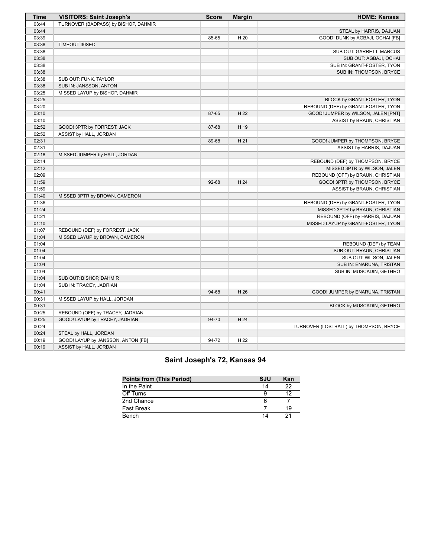| Time  | <b>VISITORS: Saint Joseph's</b>      | <b>Score</b> | <b>Margin</b> | <b>HOME: Kansas</b>                    |
|-------|--------------------------------------|--------------|---------------|----------------------------------------|
| 03:44 | TURNOVER (BADPASS) by BISHOP, DAHMIR |              |               |                                        |
| 03:44 |                                      |              |               | STEAL by HARRIS, DAJUAN                |
| 03:39 |                                      | 85-65        | H 20          | GOOD! DUNK by AGBAJI, OCHAI [FB]       |
| 03:38 | TIMEOUT 30SEC                        |              |               |                                        |
| 03:38 |                                      |              |               | SUB OUT: GARRETT, MARCUS               |
| 03:38 |                                      |              |               | SUB OUT: AGBAJI, OCHAI                 |
| 03:38 |                                      |              |               | SUB IN: GRANT-FOSTER, TYON             |
| 03:38 |                                      |              |               | SUB IN: THOMPSON, BRYCE                |
| 03:38 | SUB OUT: FUNK, TAYLOR                |              |               |                                        |
| 03:38 | SUB IN: JANSSON, ANTON               |              |               |                                        |
| 03:25 | MISSED LAYUP by BISHOP, DAHMIR       |              |               |                                        |
| 03:25 |                                      |              |               | BLOCK by GRANT-FOSTER, TYON            |
| 03:20 |                                      |              |               | REBOUND (DEF) by GRANT-FOSTER, TYON    |
| 03:10 |                                      | 87-65        | H 22          | GOOD! JUMPER by WILSON, JALEN [PNT]    |
| 03:10 |                                      |              |               | ASSIST by BRAUN, CHRISTIAN             |
| 02:52 | GOOD! 3PTR by FORREST, JACK          | 87-68        | H 19          |                                        |
| 02:52 | ASSIST by HALL, JORDAN               |              |               |                                        |
| 02:31 |                                      | 89-68        | H 21          | GOOD! JUMPER by THOMPSON, BRYCE        |
| 02:31 |                                      |              |               | ASSIST by HARRIS, DAJUAN               |
| 02:18 | MISSED JUMPER by HALL, JORDAN        |              |               |                                        |
| 02:14 |                                      |              |               | REBOUND (DEF) by THOMPSON, BRYCE       |
| 02:12 |                                      |              |               | MISSED 3PTR by WILSON, JALEN           |
| 02:09 |                                      |              |               | REBOUND (OFF) by BRAUN, CHRISTIAN      |
| 01:59 |                                      | 92-68        | H 24          | GOOD! 3PTR by THOMPSON, BRYCE          |
| 01:59 |                                      |              |               | ASSIST by BRAUN, CHRISTIAN             |
| 01:40 | MISSED 3PTR by BROWN, CAMERON        |              |               |                                        |
| 01:36 |                                      |              |               | REBOUND (DEF) by GRANT-FOSTER, TYON    |
| 01:24 |                                      |              |               | MISSED 3PTR by BRAUN, CHRISTIAN        |
| 01:21 |                                      |              |               | REBOUND (OFF) by HARRIS, DAJUAN        |
| 01:10 |                                      |              |               | MISSED LAYUP by GRANT-FOSTER, TYON     |
| 01:07 | REBOUND (DEF) by FORREST, JACK       |              |               |                                        |
| 01:04 | MISSED LAYUP by BROWN, CAMERON       |              |               |                                        |
| 01:04 |                                      |              |               | REBOUND (DEF) by TEAM                  |
| 01:04 |                                      |              |               | SUB OUT: BRAUN, CHRISTIAN              |
| 01:04 |                                      |              |               | SUB OUT: WILSON, JALEN                 |
| 01:04 |                                      |              |               | SUB IN: ENARUNA, TRISTAN               |
| 01:04 |                                      |              |               | SUB IN: MUSCADIN, GETHRO               |
| 01:04 | SUB OUT: BISHOP, DAHMIR              |              |               |                                        |
| 01:04 | SUB IN: TRACEY, JADRIAN              |              |               |                                        |
| 00:41 |                                      | 94-68        | H 26          | GOOD! JUMPER by ENARUNA, TRISTAN       |
| 00:31 | MISSED LAYUP by HALL, JORDAN         |              |               |                                        |
| 00:31 |                                      |              |               | BLOCK by MUSCADIN, GETHRO              |
| 00:25 | REBOUND (OFF) by TRACEY, JADRIAN     |              |               |                                        |
| 00:25 | GOOD! LAYUP by TRACEY, JADRIAN       | 94-70        | H 24          |                                        |
| 00:24 |                                      |              |               | TURNOVER (LOSTBALL) by THOMPSON, BRYCE |
| 00:24 | STEAL by HALL, JORDAN                |              |               |                                        |
| 00:19 | GOOD! LAYUP by JANSSON, ANTON [FB]   | 94-72        | H 22          |                                        |
| 00:19 | ASSIST by HALL, JORDAN               |              |               |                                        |

## **Saint Joseph's 72, Kansas 94**

| <b>Points from (This Period)</b> | <b>SJU</b> | Kan |
|----------------------------------|------------|-----|
| In the Paint                     | 14         | 22  |
| Off Turns                        |            | ィっ  |
| 2nd Chance                       |            |     |
| Fast Break                       |            | 19  |
| Bench                            |            |     |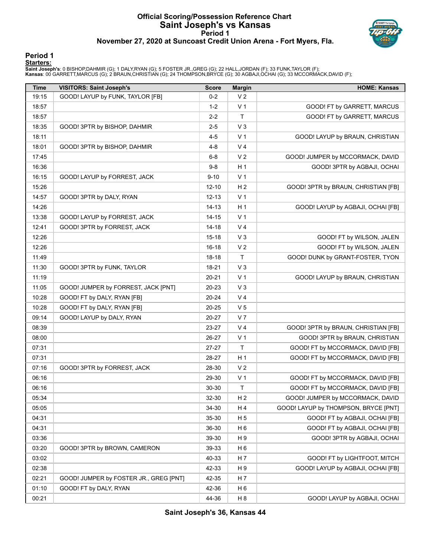## **Official Scoring/Possession Reference Chart Saint Joseph's vs Kansas Period 1 November 27, 2020 at Suncoast Credit Union Arena - Fort Myers, Fla.**



#### **Period 1 Starters:**

**Saint Joseph's**: 0 BISHOP,DAHMIR (G); 1 DALY,RYAN (G); 5 FOSTER JR.,GREG (G); 22 HALL,JORDAN (F); 33 FUNK,TAYLOR (F);<br>**Kansas**: 00 GARRETT,MARCUS (G); 2 BRAUN,CHRISTIAN (G); 24 THOMPSON,BRYCE (G); 30 AGBAJI,OCHAI (G); 33

| Time  | <b>VISITORS: Saint Joseph's</b>        | <b>Score</b> | <b>Margin</b>  | <b>HOME: Kansas</b>                  |
|-------|----------------------------------------|--------------|----------------|--------------------------------------|
| 19:15 | GOOD! LAYUP by FUNK, TAYLOR [FB]       | $0 - 2$      | V <sub>2</sub> |                                      |
| 18:57 |                                        | $1 - 2$      | V <sub>1</sub> | GOOD! FT by GARRETT, MARCUS          |
| 18:57 |                                        | $2 - 2$      | Τ              | GOOD! FT by GARRETT, MARCUS          |
| 18:35 | GOOD! 3PTR by BISHOP, DAHMIR           | $2 - 5$      | V <sub>3</sub> |                                      |
| 18:11 |                                        | $4 - 5$      | V <sub>1</sub> | GOOD! LAYUP by BRAUN, CHRISTIAN      |
| 18:01 | GOOD! 3PTR by BISHOP, DAHMIR           | $4 - 8$      | V <sub>4</sub> |                                      |
| 17:45 |                                        | $6 - 8$      | V <sub>2</sub> | GOOD! JUMPER by MCCORMACK, DAVID     |
| 16:36 |                                        | $9-8$        | H 1            | GOOD! 3PTR by AGBAJI, OCHAI          |
| 16:15 | GOOD! LAYUP by FORREST, JACK           | $9 - 10$     | V <sub>1</sub> |                                      |
| 15:26 |                                        | $12 - 10$    | H <sub>2</sub> | GOOD! 3PTR by BRAUN, CHRISTIAN [FB]  |
| 14:57 | GOOD! 3PTR by DALY, RYAN               | $12 - 13$    | V <sub>1</sub> |                                      |
| 14:26 |                                        | 14-13        | H <sub>1</sub> | GOOD! LAYUP by AGBAJI, OCHAI [FB]    |
| 13:38 | GOOD! LAYUP by FORREST, JACK           | $14 - 15$    | V <sub>1</sub> |                                      |
| 12:41 | GOOD! 3PTR by FORREST, JACK            | 14-18        | V <sub>4</sub> |                                      |
| 12:26 |                                        | $15 - 18$    | $V_3$          | GOOD! FT by WILSON, JALEN            |
| 12:26 |                                        | 16-18        | V <sub>2</sub> | GOOD! FT by WILSON, JALEN            |
| 11:49 |                                        | 18-18        | Τ              | GOOD! DUNK by GRANT-FOSTER, TYON     |
| 11:30 | GOOD! 3PTR by FUNK, TAYLOR             | 18-21        | $V_3$          |                                      |
| 11:19 |                                        | $20 - 21$    | V <sub>1</sub> | GOOD! LAYUP by BRAUN, CHRISTIAN      |
| 11:05 | GOOD! JUMPER by FORREST, JACK [PNT]    | 20-23        | $V_3$          |                                      |
| 10:28 | GOOD! FT by DALY, RYAN [FB]            | 20-24        | V <sub>4</sub> |                                      |
| 10:28 | GOOD! FT by DALY, RYAN [FB]            | 20-25        | V <sub>5</sub> |                                      |
| 09:14 | GOOD! LAYUP by DALY, RYAN              | 20-27        | V <sub>7</sub> |                                      |
| 08:39 |                                        | 23-27        | V 4            | GOOD! 3PTR by BRAUN, CHRISTIAN [FB]  |
| 08:00 |                                        | 26-27        | V <sub>1</sub> | GOOD! 3PTR by BRAUN, CHRISTIAN       |
| 07:31 |                                        | 27-27        | $\mathsf{T}$   | GOOD! FT by MCCORMACK, DAVID [FB]    |
| 07:31 |                                        | 28-27        | H <sub>1</sub> | GOOD! FT by MCCORMACK, DAVID [FB]    |
| 07:16 | GOOD! 3PTR by FORREST, JACK            | 28-30        | V <sub>2</sub> |                                      |
| 06:16 |                                        | 29-30        | V <sub>1</sub> | GOOD! FT by MCCORMACK, DAVID [FB]    |
| 06:16 |                                        | 30-30        | T              | GOOD! FT by MCCORMACK, DAVID [FB]    |
| 05:34 |                                        | 32-30        | H <sub>2</sub> | GOOD! JUMPER by MCCORMACK, DAVID     |
| 05:05 |                                        | 34-30        | H 4            | GOOD! LAYUP by THOMPSON, BRYCE [PNT] |
| 04:31 |                                        | 35-30        | H <sub>5</sub> | GOOD! FT by AGBAJI, OCHAI [FB]       |
| 04:31 |                                        | 36-30        | H <sub>6</sub> | GOOD! FT by AGBAJI, OCHAI [FB]       |
| 03:36 |                                        | 39-30        | H 9            | GOOD! 3PTR by AGBAJI, OCHAI          |
| 03:20 | GOOD! 3PTR by BROWN, CAMERON           | 39-33        | H <sub>6</sub> |                                      |
| 03:02 |                                        | 40-33        | H 7            | GOOD! FT by LIGHTFOOT, MITCH         |
| 02:38 |                                        | 42-33        | H 9            | GOOD! LAYUP by AGBAJI, OCHAI [FB]    |
| 02:21 |                                        |              |                |                                      |
|       | GOOD! JUMPER by FOSTER JR., GREG [PNT] | 42-35        | H 7            |                                      |
| 01:10 | GOOD! FT by DALY, RYAN                 | 42-36        | H <sub>6</sub> |                                      |
| 00:21 |                                        | 44-36        | H <sub>8</sub> | GOOD! LAYUP by AGBAJI, OCHAI         |

**Saint Joseph's 36, Kansas 44**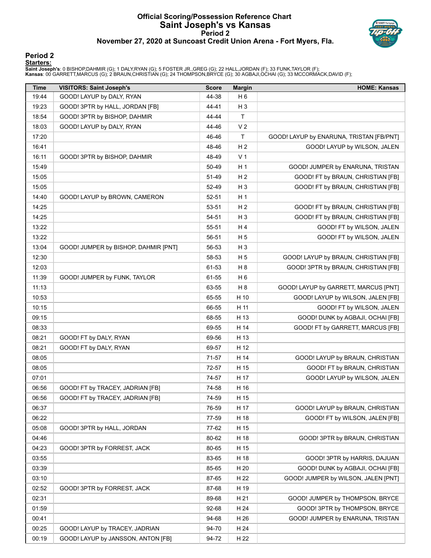## **Official Scoring/Possession Reference Chart Saint Joseph's vs Kansas Period 2 November 27, 2020 at Suncoast Credit Union Arena - Fort Myers, Fla.**



#### **Period 2 Starters:**

**Saint Joseph's**: 0 BISHOP,DAHMIR (G); 1 DALY,RYAN (G); 5 FOSTER JR.,GREG (G); 22 HALL,JORDAN (F); 33 FUNK,TAYLOR (F);<br>**Kansas**: 00 GARRETT,MARCUS (G); 2 BRAUN,CHRISTIAN (G); 24 THOMPSON,BRYCE (G); 30 AGBAJI,OCHAI (G); 33

| <b>Time</b>    | <b>VISITORS: Saint Joseph's</b>      | <b>Score</b>   | <b>Margin</b>  | <b>HOME: Kansas</b>                      |
|----------------|--------------------------------------|----------------|----------------|------------------------------------------|
| 19:44          | GOOD! LAYUP by DALY, RYAN            | 44-38          | H <sub>6</sub> |                                          |
| 19:23          | GOOD! 3PTR by HALL, JORDAN [FB]      | 44-41          | H <sub>3</sub> |                                          |
| 18:54          | GOOD! 3PTR by BISHOP, DAHMIR         | 44-44          | T.             |                                          |
| 18:03          | GOOD! LAYUP by DALY, RYAN            | 44-46          | V <sub>2</sub> |                                          |
| 17:20          |                                      | 46-46          | Τ              | GOOD! LAYUP by ENARUNA, TRISTAN [FB/PNT] |
| 16:41          |                                      | 48-46          | H <sub>2</sub> | GOOD! LAYUP by WILSON, JALEN             |
| 16:11          | GOOD! 3PTR by BISHOP, DAHMIR         | 48-49          | V <sub>1</sub> |                                          |
| 15:49          |                                      | 50-49          | H <sub>1</sub> | GOOD! JUMPER by ENARUNA, TRISTAN         |
| 15:05          |                                      | 51-49          | H <sub>2</sub> | GOOD! FT by BRAUN, CHRISTIAN [FB]        |
| 15:05          |                                      | 52-49          | $H_3$          | GOOD! FT by BRAUN, CHRISTIAN [FB]        |
| 14:40          | GOOD! LAYUP by BROWN, CAMERON        | 52-51          | H <sub>1</sub> |                                          |
| 14:25          |                                      | 53-51          | H <sub>2</sub> | GOOD! FT by BRAUN, CHRISTIAN [FB]        |
| 14:25          |                                      | 54-51          | $H_3$          | GOOD! FT by BRAUN, CHRISTIAN [FB]        |
| 13:22          |                                      | 55-51          | H 4            | GOOD! FT by WILSON, JALEN                |
| 13:22          |                                      | 56-51          | H <sub>5</sub> | GOOD! FT by WILSON, JALEN                |
| 13:04          | GOOD! JUMPER by BISHOP, DAHMIR [PNT] | 56-53          | $H_3$          |                                          |
| 12:30          |                                      | 58-53          | H <sub>5</sub> | GOOD! LAYUP by BRAUN, CHRISTIAN [FB]     |
| 12:03          |                                      | 61-53          | H <sub>8</sub> | GOOD! 3PTR by BRAUN, CHRISTIAN [FB]      |
| 11:39          | GOOD! JUMPER by FUNK, TAYLOR         | 61-55          | H <sub>6</sub> |                                          |
| 11:13          |                                      | 63-55          | H <sub>8</sub> | GOOD! LAYUP by GARRETT, MARCUS [PNT]     |
| 10:53          |                                      | 65-55          | H 10           | GOOD! LAYUP by WILSON, JALEN [FB]        |
| 10:15          |                                      | 66-55          | H 11           | GOOD! FT by WILSON, JALEN                |
| 09:15          |                                      | 68-55          | H 13           | GOOD! DUNK by AGBAJI, OCHAI [FB]         |
| 08:33          |                                      | 69-55          | H 14           | GOOD! FT by GARRETT, MARCUS [FB]         |
| 08:21          | GOOD! FT by DALY, RYAN               | 69-56          | H 13           |                                          |
| 08:21          | GOOD! FT by DALY, RYAN               | 69-57          | H 12           |                                          |
| 08:05          |                                      | 71-57          | H 14           | GOOD! LAYUP by BRAUN, CHRISTIAN          |
| 08:05          |                                      | 72-57          | H 15           | GOOD! FT by BRAUN, CHRISTIAN             |
| 07:01          |                                      | 74-57          | H 17           | GOOD! LAYUP by WILSON, JALEN             |
| 06:56          | GOOD! FT by TRACEY, JADRIAN [FB]     | 74-58          | H 16           |                                          |
|                | GOOD! FT by TRACEY, JADRIAN [FB]     | 74-59          |                |                                          |
| 06:56          |                                      |                | H 15           |                                          |
| 06:37          |                                      | 76-59          | H 17           | GOOD! LAYUP by BRAUN, CHRISTIAN          |
| 06:22<br>05:08 |                                      | 77-59          | H 18<br>H 15   | GOOD! FT by WILSON, JALEN [FB]           |
| 04:46          | GOOD! 3PTR by HALL, JORDAN           | 77-62<br>80-62 | H 18           | GOOD! 3PTR by BRAUN, CHRISTIAN           |
|                |                                      |                |                |                                          |
| 04:23          | GOOD! 3PTR by FORREST, JACK          | 80-65          | H 15           |                                          |
| 03:55          |                                      | 83-65          | H 18           | GOOD! 3PTR by HARRIS, DAJUAN             |
| 03:39          |                                      | 85-65          | H 20           | GOOD! DUNK by AGBAJI, OCHAI [FB]         |
| 03:10          |                                      | 87-65          | H 22           | GOOD! JUMPER by WILSON, JALEN [PNT]      |
| 02:52          | GOOD! 3PTR by FORREST, JACK          | 87-68          | H 19           |                                          |
| 02:31          |                                      | 89-68          | H 21           | GOOD! JUMPER by THOMPSON, BRYCE          |
| 01:59          |                                      | 92-68          | H 24           | GOOD! 3PTR by THOMPSON, BRYCE            |
| 00:41          |                                      | 94-68          | H 26           | GOOD! JUMPER by ENARUNA, TRISTAN         |
| 00:25          | GOOD! LAYUP by TRACEY, JADRIAN       | 94-70          | H 24           |                                          |
| 00:19          | GOOD! LAYUP by JANSSON, ANTON [FB]   | 94-72          | H 22           |                                          |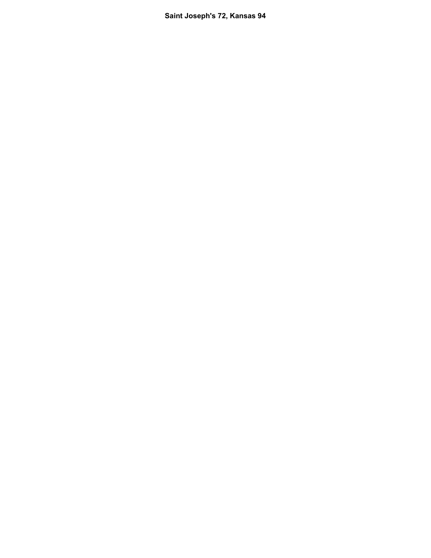**Saint Joseph's 72, Kansas 94**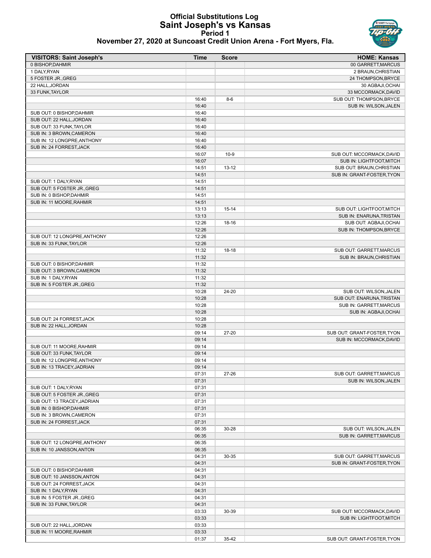## **Official Substitutions Log Saint Joseph's vs Kansas Period 1**



**November 27, 2020 at Suncoast Credit Union Arena - Fort Myers, Fla.**

| <b>VISITORS: Saint Joseph's</b>                      | <b>Time</b>    | <b>Score</b> | <b>HOME: Kansas</b>         |
|------------------------------------------------------|----------------|--------------|-----------------------------|
| 0 BISHOP.DAHMIR                                      |                |              | 00 GARRETT, MARCUS          |
| 1 DALY, RYAN                                         |                |              | 2 BRAUN, CHRISTIAN          |
| 5 FOSTER JR., GREG                                   |                |              | 24 THOMPSON, BRYCE          |
| 22 HALL, JORDAN                                      |                |              | 30 AGBAJI, OCHAI            |
| 33 FUNK, TAYLOR                                      |                |              | 33 MCCORMACK, DAVID         |
|                                                      | 16:40          | $8-6$        | SUB OUT: THOMPSON, BRYCE    |
|                                                      | 16:40          |              | SUB IN: WILSON, JALEN       |
| SUB OUT: 0 BISHOP, DAHMIR                            | 16:40          |              |                             |
| SUB OUT: 22 HALL, JORDAN<br>SUB OUT: 33 FUNK, TAYLOR | 16:40<br>16:40 |              |                             |
| SUB IN: 3 BROWN, CAMERON                             | 16:40          |              |                             |
| SUB IN: 12 LONGPRE, ANTHONY                          | 16:40          |              |                             |
| SUB IN: 24 FORREST, JACK                             | 16:40          |              |                             |
|                                                      | 16:07          | $10-9$       | SUB OUT: MCCORMACK, DAVID   |
|                                                      | 16:07          |              | SUB IN: LIGHTFOOT, MITCH    |
|                                                      | 14:51          | $13 - 12$    | SUB OUT: BRAUN, CHRISTIAN   |
|                                                      | 14:51          |              | SUB IN: GRANT-FOSTER, TYON  |
| SUB OUT: 1 DALY, RYAN                                | 14:51          |              |                             |
| SUB OUT: 5 FOSTER JR., GREG                          | 14:51          |              |                             |
| SUB IN: 0 BISHOP, DAHMIR                             | 14:51          |              |                             |
| SUB IN: 11 MOORE, RAHMIR                             | 14:51          |              |                             |
|                                                      | 13:13          | $15 - 14$    | SUB OUT: LIGHTFOOT, MITCH   |
|                                                      | 13:13          |              | SUB IN: ENARUNA, TRISTAN    |
|                                                      | 12:26          | 18-16        | SUB OUT: AGBAJI, OCHAI      |
|                                                      | 12:26          |              | SUB IN: THOMPSON, BRYCE     |
| SUB OUT: 12 LONGPRE, ANTHONY                         | 12:26          |              |                             |
| SUB IN: 33 FUNK, TAYLOR                              | 12:26          |              |                             |
|                                                      | 11:32          | $18-18$      | SUB OUT: GARRETT, MARCUS    |
|                                                      | 11:32          |              | SUB IN: BRAUN, CHRISTIAN    |
| SUB OUT: 0 BISHOP, DAHMIR                            | 11:32          |              |                             |
| SUB OUT: 3 BROWN, CAMERON                            | 11:32          |              |                             |
| SUB IN: 1 DALY, RYAN                                 | 11:32          |              |                             |
| SUB IN: 5 FOSTER JR., GREG                           | 11:32          |              |                             |
|                                                      | 10:28          | 24-20        | SUB OUT: WILSON, JALEN      |
|                                                      | 10:28          |              | SUB OUT: ENARUNA, TRISTAN   |
|                                                      | 10:28          |              | SUB IN: GARRETT, MARCUS     |
|                                                      | 10:28          |              | SUB IN: AGBAJI, OCHAI       |
| SUB OUT: 24 FORREST, JACK<br>SUB IN: 22 HALL, JORDAN | 10:28<br>10:28 |              |                             |
|                                                      | 09:14          | 27-20        | SUB OUT: GRANT-FOSTER, TYON |
|                                                      | 09:14          |              | SUB IN: MCCORMACK, DAVID    |
| SUB OUT: 11 MOORE, RAHMIR                            | 09:14          |              |                             |
| SUB OUT: 33 FUNK, TAYLOR                             | 09:14          |              |                             |
| SUB IN: 12 LONGPRE, ANTHONY                          | 09:14          |              |                             |
| SUB IN: 13 TRACEY, JADRIAN                           | 09:14          |              |                             |
|                                                      | 07:31          | 27-26        | SUB OUT: GARRETT, MARCUS    |
|                                                      | 07:31          |              | SUB IN: WILSON, JALEN       |
| SUB OUT: 1 DALY, RYAN                                | 07:31          |              |                             |
| SUB OUT: 5 FOSTER JR., GREG                          | 07:31          |              |                             |
| SUB OUT: 13 TRACEY, JADRIAN                          | 07:31          |              |                             |
| SUB IN: 0 BISHOP, DAHMIR                             | 07:31          |              |                             |
| SUB IN: 3 BROWN, CAMERON                             | 07:31          |              |                             |
| SUB IN: 24 FORREST, JACK                             | 07:31          |              |                             |
|                                                      | 06:35          | 30-28        | SUB OUT: WILSON, JALEN      |
|                                                      | 06:35          |              | SUB IN: GARRETT, MARCUS     |
| SUB OUT: 12 LONGPRE, ANTHONY                         | 06:35          |              |                             |
| SUB IN: 10 JANSSON, ANTON                            | 06:35          |              |                             |
|                                                      | 04:31          | 30-35        | SUB OUT: GARRETT, MARCUS    |
|                                                      | 04:31          |              | SUB IN: GRANT-FOSTER, TYON  |
| SUB OUT: 0 BISHOP, DAHMIR                            | 04:31          |              |                             |
| SUB OUT: 10 JANSSON, ANTON                           | 04:31          |              |                             |
| SUB OUT: 24 FORREST, JACK                            | 04:31          |              |                             |
| SUB IN: 1 DALY, RYAN                                 | 04:31          |              |                             |
| SUB IN: 5 FOSTER JR., GREG                           | 04:31          |              |                             |
| SUB IN: 33 FUNK, TAYLOR                              | 04:31          |              |                             |
|                                                      | 03:33          | 30-39        | SUB OUT: MCCORMACK, DAVID   |
| SUB OUT: 22 HALL, JORDAN                             | 03:33<br>03:33 |              | SUB IN: LIGHTFOOT, MITCH    |
| SUB IN: 11 MOORE, RAHMIR                             | 03:33          |              |                             |
|                                                      | 01:37          | 35-42        | SUB OUT: GRANT-FOSTER, TYON |
|                                                      |                |              |                             |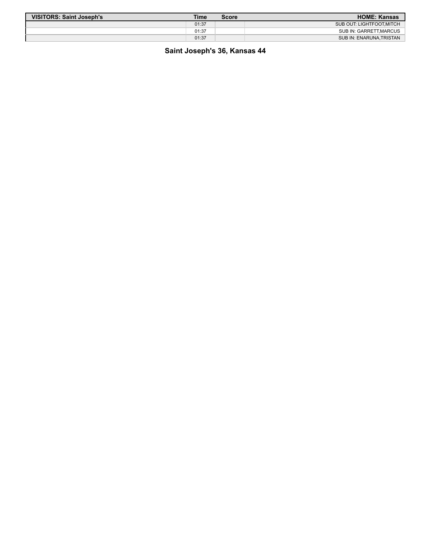| <b>VISITORS: Saint Joseph's</b> | <b>Time</b> | <b>Score</b> | <b>HOME: Kansas</b>      |
|---------------------------------|-------------|--------------|--------------------------|
|                                 | 01:37       |              | SUB OUT: LIGHTFOOT.MITCH |
|                                 | 01:37       |              | SUB IN: GARRETT, MARCUS  |
|                                 | 01:37       |              | SUB IN: ENARUNA, TRISTAN |

**Saint Joseph's 36, Kansas 44**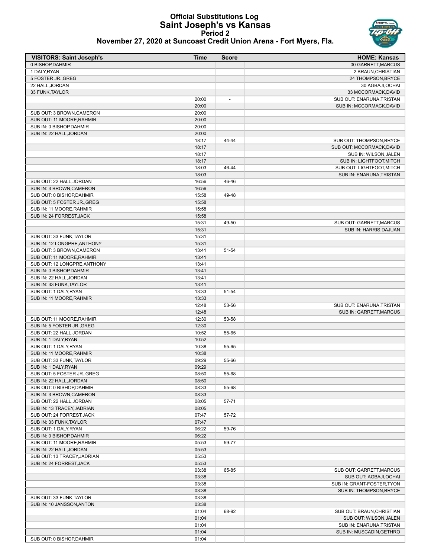# **Official Substitutions Log Saint Joseph's vs Kansas Period 2**



| November 27, 2020 at Suncoast Credit Union Arena - Fort Myers, Fla. |
|---------------------------------------------------------------------|
|---------------------------------------------------------------------|

| <b>VISITORS: Saint Joseph's</b> | Time  | <b>Score</b>             | <b>HOME: Kansas</b>            |
|---------------------------------|-------|--------------------------|--------------------------------|
| 0 BISHOP, DAHMIR                |       |                          | 00 GARRETT, MARCUS             |
| 1 DALY, RYAN                    |       |                          | 2 BRAUN, CHRISTIAN             |
| 5 FOSTER JR., GREG              |       |                          | 24 THOMPSON, BRYCE             |
| 22 HALL, JORDAN                 |       |                          | 30 AGBAJI, OCHAI               |
| 33 FUNK, TAYLOR                 |       |                          | 33 MCCORMACK, DAVID            |
|                                 | 20:00 | $\overline{\phantom{a}}$ | SUB OUT: ENARUNA, TRISTAN      |
|                                 | 20:00 |                          | SUB IN: MCCORMACK, DAVID       |
| SUB OUT: 3 BROWN, CAMERON       | 20:00 |                          |                                |
| SUB OUT: 11 MOORE, RAHMIR       | 20:00 |                          |                                |
| SUB IN: 0 BISHOP, DAHMIR        | 20:00 |                          |                                |
| SUB IN: 22 HALL, JORDAN         | 20:00 |                          |                                |
|                                 | 18:17 | 44-44                    | SUB OUT: THOMPSON.BRYCE        |
|                                 | 18:17 |                          | SUB OUT: MCCORMACK, DAVID      |
|                                 | 18:17 |                          | SUB IN: WILSON, JALEN          |
|                                 | 18:17 |                          | SUB IN: LIGHTFOOT, MITCH       |
|                                 | 18:03 | 46-44                    | SUB OUT: LIGHTFOOT, MITCH      |
|                                 | 18:03 |                          | SUB IN: ENARUNA, TRISTAN       |
| SUB OUT: 22 HALL, JORDAN        | 16:56 | 46-46                    |                                |
| SUB IN: 3 BROWN, CAMERON        | 16:56 |                          |                                |
| SUB OUT: 0 BISHOP, DAHMIR       | 15:58 | 49-48                    |                                |
| SUB OUT: 5 FOSTER JR., GREG     | 15:58 |                          |                                |
| SUB IN: 11 MOORE, RAHMIR        | 15:58 |                          |                                |
| SUB IN: 24 FORREST, JACK        | 15:58 |                          |                                |
|                                 | 15:31 | 49-50                    | SUB OUT: GARRETT, MARCUS       |
|                                 | 15:31 |                          | SUB IN: HARRIS, DAJUAN         |
| SUB OUT: 33 FUNK, TAYLOR        | 15:31 |                          |                                |
| SUB IN: 12 LONGPRE, ANTHONY     | 15:31 |                          |                                |
| SUB OUT: 3 BROWN, CAMERON       | 13:41 | 51-54                    |                                |
| SUB OUT: 11 MOORE, RAHMIR       | 13:41 |                          |                                |
|                                 |       |                          |                                |
| SUB OUT: 12 LONGPRE, ANTHONY    | 13:41 |                          |                                |
| SUB IN: 0 BISHOP, DAHMIR        | 13:41 |                          |                                |
| SUB IN: 22 HALL, JORDAN         | 13:41 |                          |                                |
| SUB IN: 33 FUNK, TAYLOR         | 13:41 |                          |                                |
| SUB OUT: 1 DALY, RYAN           | 13:33 | 51-54                    |                                |
| SUB IN: 11 MOORE, RAHMIR        | 13:33 |                          |                                |
|                                 | 12:48 | 53-56                    | SUB OUT: ENARUNA, TRISTAN      |
|                                 | 12:48 |                          | <b>SUB IN: GARRETT, MARCUS</b> |
| SUB OUT: 11 MOORE, RAHMIR       | 12:30 | 53-58                    |                                |
| SUB IN: 5 FOSTER JR., GREG      | 12:30 |                          |                                |
| SUB OUT: 22 HALL, JORDAN        | 10:52 | 55-65                    |                                |
| SUB IN: 1 DALY.RYAN             | 10:52 |                          |                                |
| SUB OUT: 1 DALY, RYAN           | 10:38 | 55-65                    |                                |
| SUB IN: 11 MOORE, RAHMIR        | 10:38 |                          |                                |
| SUB OUT: 33 FUNK, TAYLOR        | 09:29 | 55-66                    |                                |
| SUB IN: 1 DALY, RYAN            | 09:29 |                          |                                |
| SUB OUT: 5 FOSTER JR., GREG     | 08:50 | 55-68                    |                                |
| SUB IN: 22 HALL, JORDAN         | 08:50 |                          |                                |
| SUB OUT: 0 BISHOP, DAHMIR       | 08:33 | 55-68                    |                                |
| SUB IN: 3 BROWN, CAMERON        | 08:33 |                          |                                |
| SUB OUT: 22 HALL, JORDAN        | 08:05 | 57-71                    |                                |
| SUB IN: 13 TRACEY, JADRIAN      | 08:05 |                          |                                |
| SUB OUT: 24 FORREST, JACK       | 07:47 | 57-72                    |                                |
| SUB IN: 33 FUNK, TAYLOR         | 07:47 |                          |                                |
| SUB OUT: 1 DALY, RYAN           | 06:22 | 59-76                    |                                |
| SUB IN: 0 BISHOP, DAHMIR        | 06:22 |                          |                                |
| SUB OUT: 11 MOORE.RAHMIR        | 05:53 | 59-77                    |                                |
| SUB IN: 22 HALL.JORDAN          | 05:53 |                          |                                |
| SUB OUT: 13 TRACEY, JADRIAN     | 05:53 |                          |                                |
| SUB IN: 24 FORREST, JACK        | 05:53 |                          |                                |
|                                 | 03:38 | 65-85                    | SUB OUT: GARRETT, MARCUS       |
|                                 | 03:38 |                          | SUB OUT: AGBAJI, OCHAI         |
|                                 | 03:38 |                          | SUB IN: GRANT-FOSTER, TYON     |
|                                 | 03:38 |                          | SUB IN: THOMPSON, BRYCE        |
| SUB OUT: 33 FUNK, TAYLOR        | 03:38 |                          |                                |
| SUB IN: 10 JANSSON, ANTON       | 03:38 |                          |                                |
|                                 | 01:04 | 68-92                    | SUB OUT: BRAUN, CHRISTIAN      |
|                                 | 01:04 |                          | SUB OUT: WILSON, JALEN         |
|                                 | 01:04 |                          | SUB IN: ENARUNA, TRISTAN       |
|                                 | 01:04 |                          | SUB IN: MUSCADIN, GETHRO       |
| SUB OUT: 0 BISHOP, DAHMIR       | 01:04 |                          |                                |
|                                 |       |                          |                                |